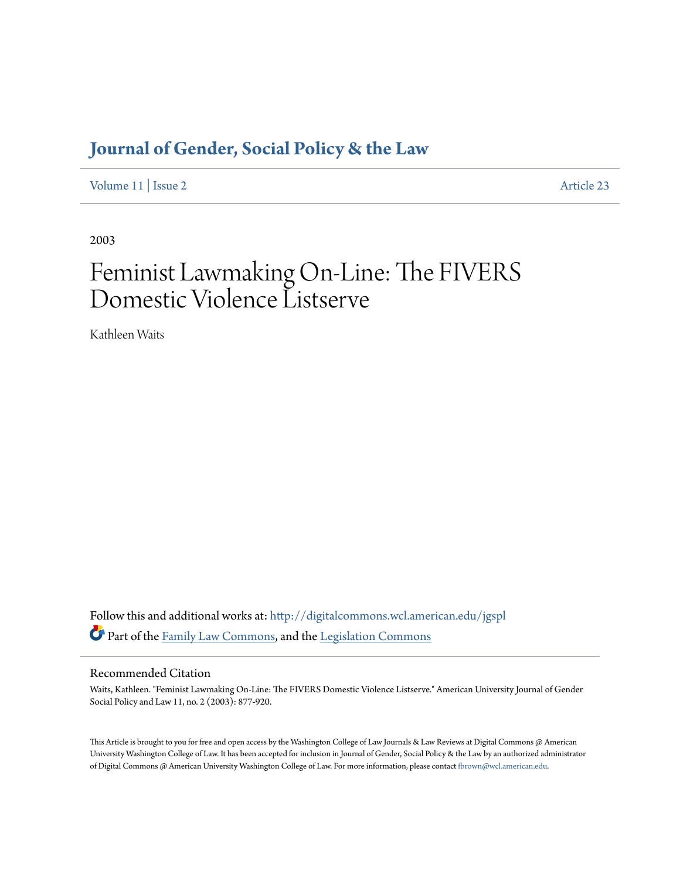# **[Journal of Gender, Social Policy & the Law](http://digitalcommons.wcl.american.edu/jgspl?utm_source=digitalcommons.wcl.american.edu%2Fjgspl%2Fvol11%2Fiss2%2F23&utm_medium=PDF&utm_campaign=PDFCoverPages)**

[Volume 11](http://digitalcommons.wcl.american.edu/jgspl/vol11?utm_source=digitalcommons.wcl.american.edu%2Fjgspl%2Fvol11%2Fiss2%2F23&utm_medium=PDF&utm_campaign=PDFCoverPages) | [Issue 2](http://digitalcommons.wcl.american.edu/jgspl/vol11/iss2?utm_source=digitalcommons.wcl.american.edu%2Fjgspl%2Fvol11%2Fiss2%2F23&utm_medium=PDF&utm_campaign=PDFCoverPages) [Article 23](http://digitalcommons.wcl.american.edu/jgspl/vol11/iss2/23?utm_source=digitalcommons.wcl.american.edu%2Fjgspl%2Fvol11%2Fiss2%2F23&utm_medium=PDF&utm_campaign=PDFCoverPages)

2003

# Feminist Lawmaking On-Line: The FIVERS Domestic Violence Listserve

Kathleen Waits

Follow this and additional works at: [http://digitalcommons.wcl.american.edu/jgspl](http://digitalcommons.wcl.american.edu/jgspl?utm_source=digitalcommons.wcl.american.edu%2Fjgspl%2Fvol11%2Fiss2%2F23&utm_medium=PDF&utm_campaign=PDFCoverPages) Part of the [Family Law Commons,](http://network.bepress.com/hgg/discipline/602?utm_source=digitalcommons.wcl.american.edu%2Fjgspl%2Fvol11%2Fiss2%2F23&utm_medium=PDF&utm_campaign=PDFCoverPages) and the [Legislation Commons](http://network.bepress.com/hgg/discipline/859?utm_source=digitalcommons.wcl.american.edu%2Fjgspl%2Fvol11%2Fiss2%2F23&utm_medium=PDF&utm_campaign=PDFCoverPages)

# Recommended Citation

Waits, Kathleen. "Feminist Lawmaking On-Line: The FIVERS Domestic Violence Listserve." American University Journal of Gender Social Policy and Law 11, no. 2 (2003): 877-920.

This Article is brought to you for free and open access by the Washington College of Law Journals & Law Reviews at Digital Commons @ American University Washington College of Law. It has been accepted for inclusion in Journal of Gender, Social Policy & the Law by an authorized administrator of Digital Commons @ American University Washington College of Law. For more information, please contact [fbrown@wcl.american.edu.](mailto:fbrown@wcl.american.edu)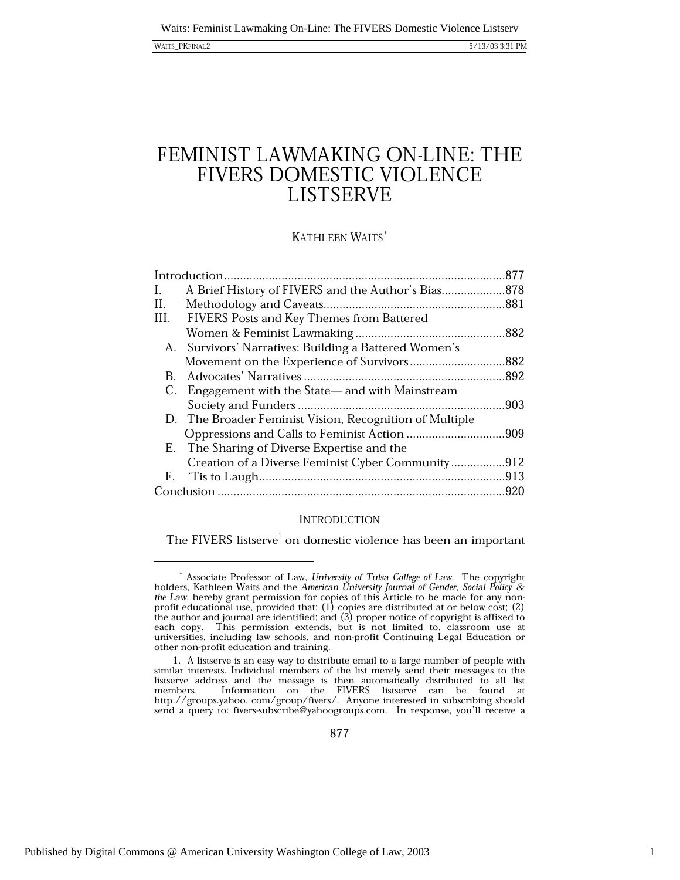### WAITS\_PKFINAL2

# FEMINIST LAWMAKING ON-LINE: THE FIVERS DOMESTIC VIOLENCE **LISTSERVE**

# KATHLEEN WAITS\*

| L.   | A Brief History of FIVERS and the Author's Bias878      |      |
|------|---------------------------------------------------------|------|
| И.   |                                                         |      |
| III. | <b>FIVERS Posts and Key Themes from Battered</b>        |      |
|      |                                                         |      |
| А.   | Survivors' Narratives: Building a Battered Women's      |      |
|      | Movement on the Experience of Survivors882              |      |
| B.   |                                                         |      |
| C.   | Engagement with the State—and with Mainstream           |      |
|      |                                                         | .903 |
|      | D. The Broader Feminist Vision, Recognition of Multiple |      |
|      |                                                         |      |
|      | E. The Sharing of Diverse Expertise and the             |      |
|      | Creation of a Diverse Feminist Cyber Community912       |      |
|      |                                                         |      |
|      |                                                         | .920 |
|      |                                                         |      |

# **INTRODUCTION**

The FIVERS listserve<sup>1</sup> on domestic violence has been an important

 $*$  Associate Professor of Law, University of Tulsa College of Law. The copyright holders, Kathleen Waits and the American University Journal of Gender, Social Policy & the Law, hereby grant permission for copies of this and Equipment permission for copies or this function of the author and journal are identified; and (3) proper notice to be made to each copy. This permission extends, but is not limited to, classroom use at universities, i other non-profit education and training.

<sup>1.</sup> A listserve is an easy way to distribute email to a large number of people with similar interests. Individual members of the list merely send their messages to the listserve address and the message is then automatically distributed to all list<br>members. Information on the FIVERS listserve can be found at http://groups.yahoo.com/group/fivers/. Anyone interested in subscribing should send a query to: fivers-subscribe@yahoogroups.com. In response, you'll receive a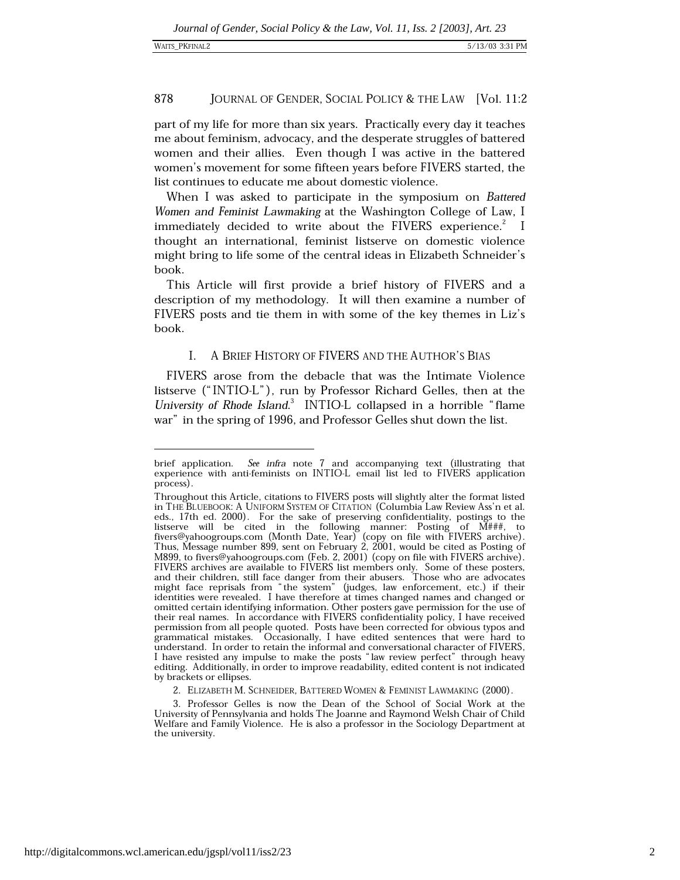JOURNAL OF GENDER, SOCIAL POLICY & THE LAW [Vol. 11:2

part of my life for more than six years. Practically every day it teaches me about feminism, advocacy, and the desperate struggles of battered women and their allies. Even though I was active in the battered women's movement for some fifteen years before FIVERS started, the list continues to educate me about domestic violence.

When I was asked to participate in the symposium on Battered Women and Feminist Lawmaking at the Washington College of Law, I immediately decided to write about the FIVERS experience.<sup>2</sup> I thought an international, feminist listserve on domestic violence might bring to life some of the central ideas in Elizabeth Schneider's book.

This Article will first provide a brief history of FIVERS and a description of my methodology. It will then examine a number of FIVERS posts and tie them in with some of the key themes in Liz's book.

### I. A BRIEF HISTORY OF FIVERS AND THE AUTHOR'S BIAS

FIVERS arose from the debacle that was the Intimate Violence listserve ("INTIO-L"), run by Professor Richard Gelles, then at the University of Rhode Island.<sup>3</sup> INTIO-L collapsed in a horrible "flame" war" in the spring of 1996, and Professor Gelles shut down the list.

brief application. See infra note 7 and accompanying text (illustrating that experience with anti-feminists on INTIO-L email list led to FIVERS application process).

Throughout this Article, citations to FIVERS posts will slightly alter the format listed in THE BLUEBOOK: A UNIFORM SYSTEM OF CITATION (Columbia Law Review Ass'n et al. eds., 17th ed. 2000). For the sake of preserving confidentiality, postings to the<br>listserve will be cited in the following manner: Posting of  $M#H#$ , to<br>fivers@yahoogroups.com (Month Date, Year) (copy on file with FIVERS M899, to fivers@yahoogroups.com (Feb. 2, 2001) (copy on file with FIVERS archive). FIVERS archives are available to FIVERS list members only. Some of these posters, and their children, still face danger from their abusers. Those who are advocates might face reprisals from "the system" (judges, law enforcement, etc.) if their identities were revealed. I have therefore at times changed names and changed or omitted certain identifying information. Other posters gave permission for the use of their real names. In accordance with FIVERS confidentiality policy, I have received permission from all people quoted. Posts have been corrected for obvious typos and grammatical mistakes. Occasionally, I have edited sentences that were hard to understand. In order to retain the informal and conversational character of FIVERS, I have resisted any impulse to make the posts "law review perfect" through heavy editing. Additionally, in order to improve readability, edited content is not indicated by brackets or ellipses.

<sup>2.</sup> ELIZABETH M. SCHNEIDER, BATTERED WOMEN & FEMINIST LAWMAKING (2000).

<sup>3.</sup> Professor Gelles is now the Dean of the School of Social Work at the University of Pennsylvania and holds The Joanne and Raymond Welsh Chair of Child Welfare and Family Violence. He is also a professor in the Sociology Department at the university.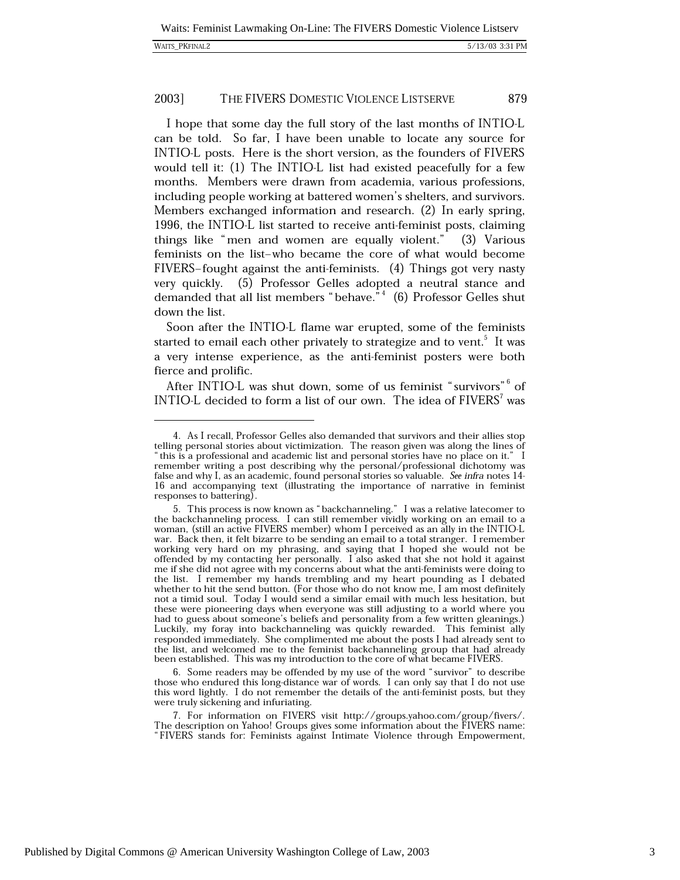|  | <b>WAITS PKFINAL2</b> |
|--|-----------------------|
|--|-----------------------|

I hope that some day the full story of the last months of INTIO-L can be told. So far, I have been unable to locate any source for INTIO-L posts. Here is the short version, as the founders of FIVERS would tell it: (1) The INTIO-L list had existed peacefully for a few months. Members were drawn from academia, various professions, including people working at battered women's shelters, and survivors. Members exchanged information and research. (2) In early spring, 1996, the INTIO-L list started to receive anti-feminist posts, claiming things like "men and women are equally violent." (3) Various feminists on the list-who became the core of what would become FIVERS-fought against the anti-feminists. (4) Things got very nasty very quickly. (5) Professor Gelles adopted a neutral stance and demanded that all list members "behave."<sup>4</sup> (6) Professor Gelles shut down the list.

Soon after the INTIO-L flame war erupted, some of the feminists started to email each other privately to strategize and to vent.<sup>5</sup> It was a very intense experience, as the anti-feminist posters were both fierce and prolific.

After INTIO-L was shut down, some of us feminist "survivors"<sup>6</sup> of INTIO-L decided to form a list of our own. The idea of FIVERS<sup>7</sup> was

6. Some readers may be offended by my use of the word "survivor" to describe those who endured this long-distance war of words. I can only say that I do not use this word lightly. I do not remember the details of the anti-feminist posts, but they were truly sickening and infuriating.

<sup>4.</sup> As I recall, Professor Gelles also demanded that survivors and their allies stop telling personal stories about victimization. The reason given was along the lines of "this is a professional and academic list and personal stories have no place on it." I remember writing a post describing why the personal/professional dichotomy was false and why I, as an academic, found personal stories so valuable. See infra notes 14-16 and accompanying text (illustrating the importance of narrative in feminist responses to battering).

<sup>5.</sup> This process is now known as "backchanneling." I was a relative latecomer to the backchanneling process. I can still remember vividly working on an email to a woman, (still an active FIVERS member) whom I perceived as an ally in the INTIO-L war. Back then, it felt bizarre to be sending an email to a total stranger. I remember working very hard on my phrasing, and saying that I hoped she would not be offended by my contacting her personally. I also asked that she not hold it against me if she did not agree with my concerns about what the anti-feminists were doing to the list. I remember my hands trembling and my heart pounding as I debated whether to hit the send button. (For those who do not know me, I am most definitely not a timid soul. Today I would send a similar email with much less hesitation, but these were pioneering days when everyone was still adjusting to a world where you had to guess about someone's beliefs and personality from a few written gleanings.)<br>Luckily, my foray into backchanneling was quickly rewarded. This feminist ally responded immediately. She complimented me about the posts I had already sent to the list, and welcomed me to the feminist backchanneling group that had already been established. This was my introduction to the core of what became FIVERS.

<sup>7.</sup> For information on FIVERS visit http://groups.yahoo.com/group/fivers/. The description on Yahoo! Groups gives some information about the FIVERS name: "FIVERS stands for: Feminists against Intimate Violence through Empowerment,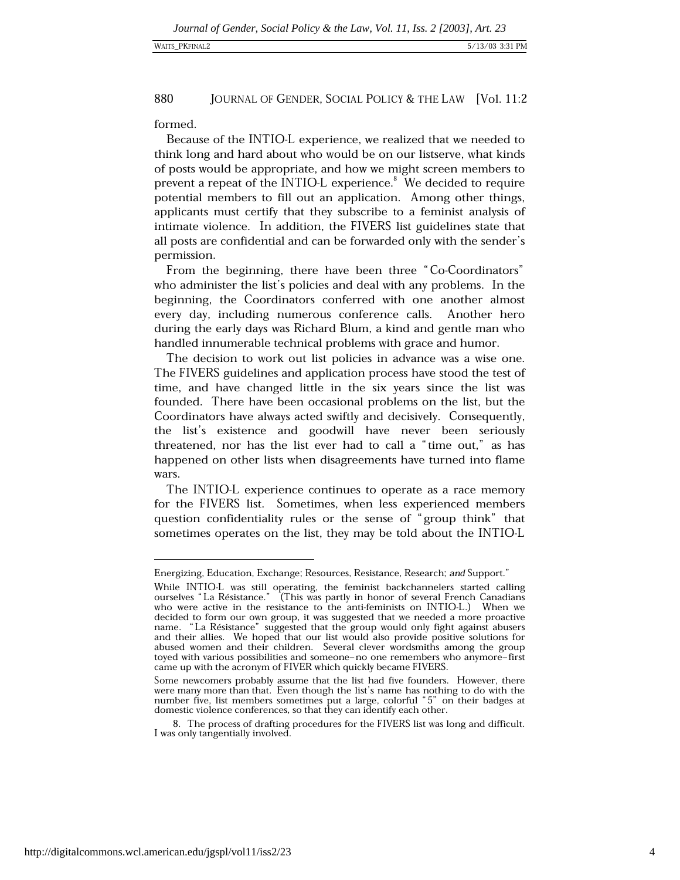formed.

Because of the INTIO-L experience, we realized that we needed to think long and hard about who would be on our listserve, what kinds of posts would be appropriate, and how we might screen members to prevent a repeat of the INTIO-L experience.<sup>8</sup> We decided to require potential members to fill out an application. Among other things, applicants must certify that they subscribe to a feminist analysis of intimate violence. In addition, the FIVERS list guidelines state that all posts are confidential and can be forwarded only with the sender's permission.

From the beginning, there have been three "Co-Coordinators" who administer the list's policies and deal with any problems. In the beginning, the Coordinators conferred with one another almost every day, including numerous conference calls. Another hero during the early days was Richard Blum, a kind and gentle man who handled innumerable technical problems with grace and humor.

The decision to work out list policies in advance was a wise one. The FIVERS guidelines and application process have stood the test of time, and have changed little in the six years since the list was founded. There have been occasional problems on the list, but the Coordinators have always acted swiftly and decisively. Consequently, the list's existence and goodwill have never been seriously threatened, nor has the list ever had to call a "time out," as has happened on other lists when disagreements have turned into flame wars.

The INTIO-L experience continues to operate as a race memory for the FIVERS list. Sometimes, when less experienced members question confidentiality rules or the sense of "group think" that sometimes operates on the list, they may be told about the INTIO-L

Energizing, Education, Exchange; Resources, Resistance, Research; and Support."

While INTIO-L was still operating, the feminist backchannelers started calling<br>ourselves "La Résistance." (This was partly in honor of several French Canadians who were active in the resistance to the anti-feminists on INTIO-L.) When we decided to form our own group, it was suggested that we needed a more proactive name. "La Résistance" suggested that the group would only fight against abusers and their allies. We hoped that our list would also provide positive solutions for abused women and their children. Several clever wordsmiths among the group toyed with various possibilities and someone-no one remembers who anymore-first came up with the acronym of FIVER which quickly became FIVERS.

Some newcomers probably assume that the list had five founders. However, there were many more than that. Even though the list's name has nothing to do with the number five, list members sometimes put a large, colorful "5" on their badges at domestic violence conferences, so that they can identify each other.

<sup>8.</sup> The process of drafting procedures for the FIVERS list was long and difficult. I was only tangentially involved.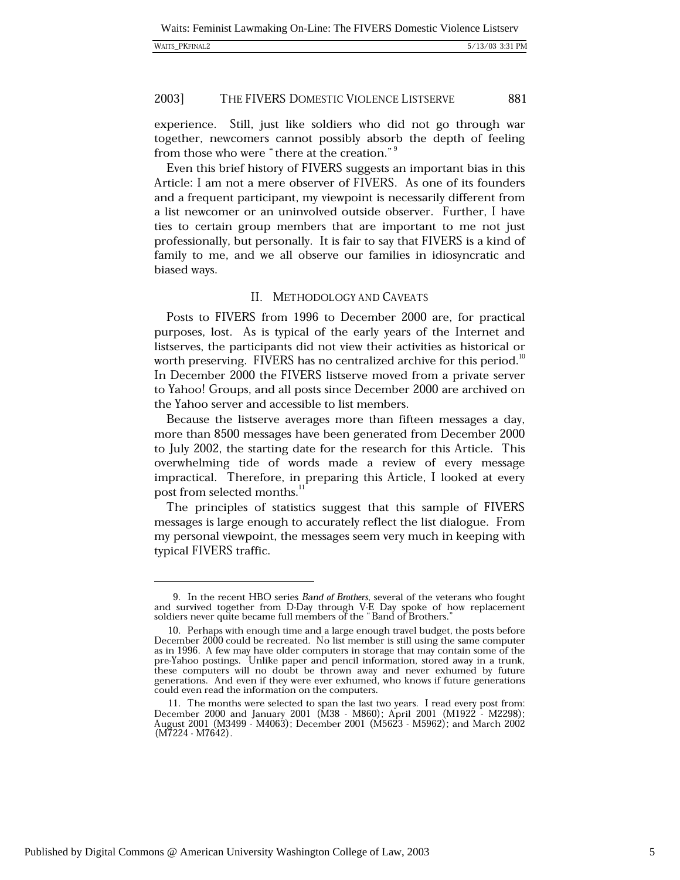experience. Still, just like soldiers who did not go through war together, newcomers cannot possibly absorb the depth of feeling from those who were "there at the creation."<sup>9</sup>

Even this brief history of FIVERS suggests an important bias in this Article: I am not a mere observer of FIVERS. As one of its founders and a frequent participant, my viewpoint is necessarily different from a list newcomer or an uninvolved outside observer. Further, I have ties to certain group members that are important to me not just professionally, but personally. It is fair to say that FIVERS is a kind of family to me, and we all observe our families in idiosyncratic and biased ways.

# II. METHODOLOGY AND CAVEATS

Posts to FIVERS from 1996 to December 2000 are, for practical purposes, lost. As is typical of the early years of the Internet and listserves, the participants did not view their activities as historical or worth preserving. FIVERS has no centralized archive for this period.<sup>10</sup> In December 2000 the FIVERS listserve moved from a private server to Yahoo! Groups, and all posts since December 2000 are archived on the Yahoo server and accessible to list members.

Because the listserve averages more than fifteen messages a day, more than 8500 messages have been generated from December 2000 to July 2002, the starting date for the research for this Article. This overwhelming tide of words made a review of every message impractical. Therefore, in preparing this Article, I looked at every post from selected months.<sup>11</sup>

The principles of statistics suggest that this sample of FIVERS messages is large enough to accurately reflect the list dialogue. From my personal viewpoint, the messages seem very much in keeping with typical FIVERS traffic.

<sup>9.</sup> In the recent HBO series Band of Brothers, several of the veterans who fought and survived together from D-Day through V-E Day spoke of how replacement soldiers never quite became full members of the "Band of Brothers."

<sup>10.</sup> Perhaps with enough time and a large enough travel budget, the posts before December 2000 could be recreated. No list member is still using the same computer as in 1996. A few may have older computers in storage that may contain some of the pre-Yahoo postings. Unlike paper and pencil information, stored away in a trunk, these computers will no doubt be thrown away and never exhumed by future generations. And even if they were ever exhumed, who knows if future generations could even read the information on the computers.

<sup>11.</sup> The months were selected to span the last two years. I read every post from: December 2000 and January 2001 (M38 - M860); April 2001 (M1922 - M2298); August 2001 (M3499 - M4063); December 2001 (M5623 - M5962); and March 2002  $(M7224 - M7642)$ .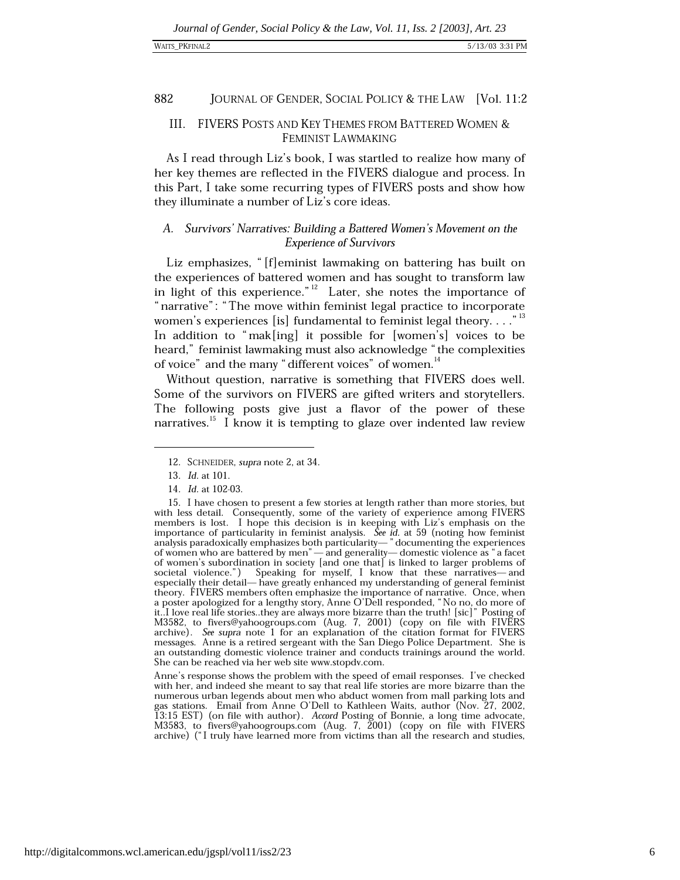# III. FIVERS POSTS AND KEY THEMES FROM BATTERED WOMEN & FEMINIST LAWMAKING

As I read through Liz's book, I was startled to realize how many of her key themes are reflected in the FIVERS dialogue and process. In this Part, I take some recurring types of FIVERS posts and show how they illuminate a number of Liz's core ideas.

# A. Survivors' Narratives: Building a Battered Women's Movement on the **Experience of Survivors**

Liz emphasizes, "[f]eminist lawmaking on battering has built on the experiences of battered women and has sought to transform law in light of this experience." $12$  Later, she notes the importance of "narrative": "The move within feminist legal practice to incorporate women's experiences [is] fundamental to feminist legal theory...."<sup>13</sup> In addition to "mak[ing] it possible for [women's] voices to be heard," feminist lawmaking must also acknowledge "the complexities of voice" and the many "different voices" of women.<sup>14</sup>

Without question, narrative is something that FIVERS does well. Some of the survivors on FIVERS are gifted writers and storytellers. The following posts give just a flavor of the power of these narratives.<sup>15</sup> I know it is tempting to glaze over indented law review

Anne's response shows the problem with the speed of email responses. I've checked with her, and indeed she meant to say that real life stories are more bizarre than the numerous urban legends about men who abduct women from mall parking lots and gas stations. Email from Anne O'Dell to Kathleen Waits, author (Nov. 27, 2002, 13:15 EST) (on file with author). Accord Posting of Bonnie, a long time advocate,<br>M3583, to fivers@yahoogroups.com (Aug. 7, 2001) (copy on file with FIVERS archive) ("I truly have learned more from victims than all the research and studies,

<sup>12.</sup> SCHNEIDER, supra note 2, at 34.

<sup>13.</sup> *Id.* at 101.

<sup>14.</sup> Id. at 102-03.

<sup>15.</sup> I have chosen to present a few stories at length rather than more stories, but with less detail. Consequently, some of the variety of experience among FIVERS members is lost. I hope this decision is in keeping with Liz's emphasis on the importance of particularity in feminist analysis. See id. at 59 (noting how feminist analysis paradoxically emphasizes both particularity—" documenting the experiences of women who are battered by men"—and generality—domestic violence as "a facet of women's subordination in society [and one that] is linked to larger problems of societal violence.") Speaking for myself, I know that these narratives—and especially their detail— have greatly enhanced my understanding of general feminist theory. FIVERS members often emphasize the importance of narrative. Once, when a poster apologized for a lengthy story, Anne O'Dell responded, "No no, do more of it...I love real life stories..they are always more bizarre than the truth! [sic]" Posting of M3582, to fivers@yahoogroups.com (Aug. 7, 2001) (copy on file with FIVERS archive). See supra note 1 for an explanation of the citation format for FIVERS messages. Anne is a retired sergeant with the San Diego Police Department. She is an outstanding domestic violence trainer and conducts trainings around the world. She can be reached via her web site www.stopdv.com.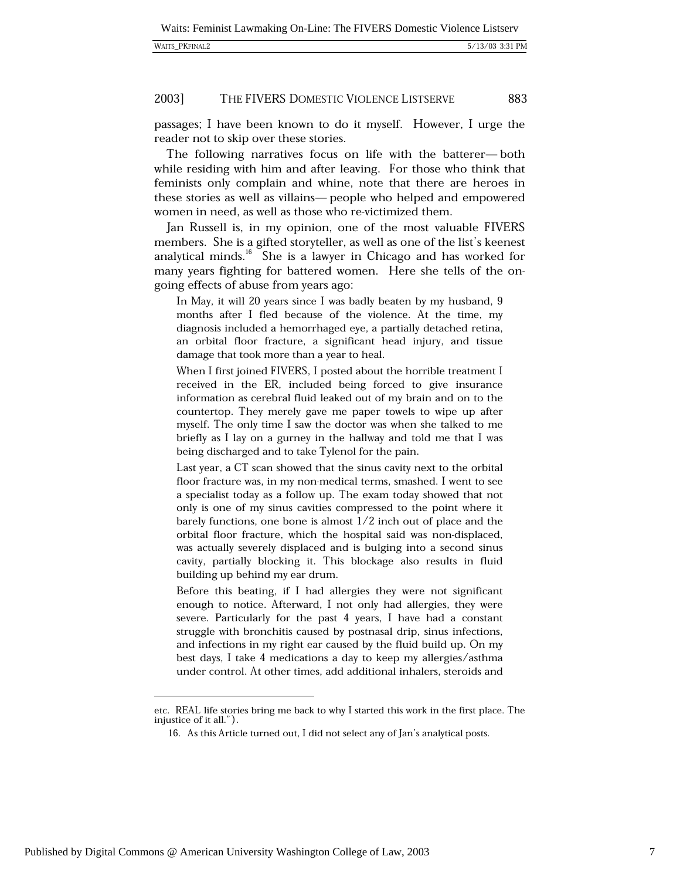| WAITS PKFINAL2 |  |
|----------------|--|
|----------------|--|

passages; I have been known to do it myself. However, I urge the reader not to skip over these stories.

The following narratives focus on life with the batterer—both while residing with him and after leaving. For those who think that feminists only complain and whine, note that there are heroes in these stories as well as villains— people who helped and empowered women in need, as well as those who re-victimized them.

Jan Russell is, in my opinion, one of the most valuable FIVERS members. She is a gifted storyteller, as well as one of the list's keenest analytical minds.<sup>16</sup> She is a lawyer in Chicago and has worked for many years fighting for battered women. Here she tells of the ongoing effects of abuse from years ago:

In May, it will 20 years since I was badly beaten by my husband, 9 months after I fled because of the violence. At the time, my diagnosis included a hemorrhaged eye, a partially detached retina, an orbital floor fracture, a significant head injury, and tissue damage that took more than a year to heal.

When I first joined FIVERS, I posted about the horrible treatment I received in the ER, included being forced to give insurance information as cerebral fluid leaked out of my brain and on to the countertop. They merely gave me paper towels to wipe up after myself. The only time I saw the doctor was when she talked to me briefly as I lay on a gurney in the hallway and told me that I was being discharged and to take Tylenol for the pain.

Last year, a CT scan showed that the sinus cavity next to the orbital floor fracture was, in my non-medical terms, smashed. I went to see a specialist today as a follow up. The exam today showed that not only is one of my sinus cavities compressed to the point where it barely functions, one bone is almost  $1/2$  inch out of place and the orbital floor fracture, which the hospital said was non-displaced, was actually severely displaced and is bulging into a second sinus cavity, partially blocking it. This blockage also results in fluid building up behind my ear drum.

Before this beating, if I had allergies they were not significant enough to notice. Afterward, I not only had allergies, they were severe. Particularly for the past 4 years, I have had a constant struggle with bronchitis caused by postnasal drip, sinus infections, and infections in my right ear caused by the fluid build up. On my best days, I take 4 medications a day to keep my allergies/asthma under control. At other times, add additional inhalers, steroids and

etc. REAL life stories bring me back to why I started this work in the first place. The injustice of it all.").

<sup>16.</sup> As this Article turned out, I did not select any of Jan's analytical posts.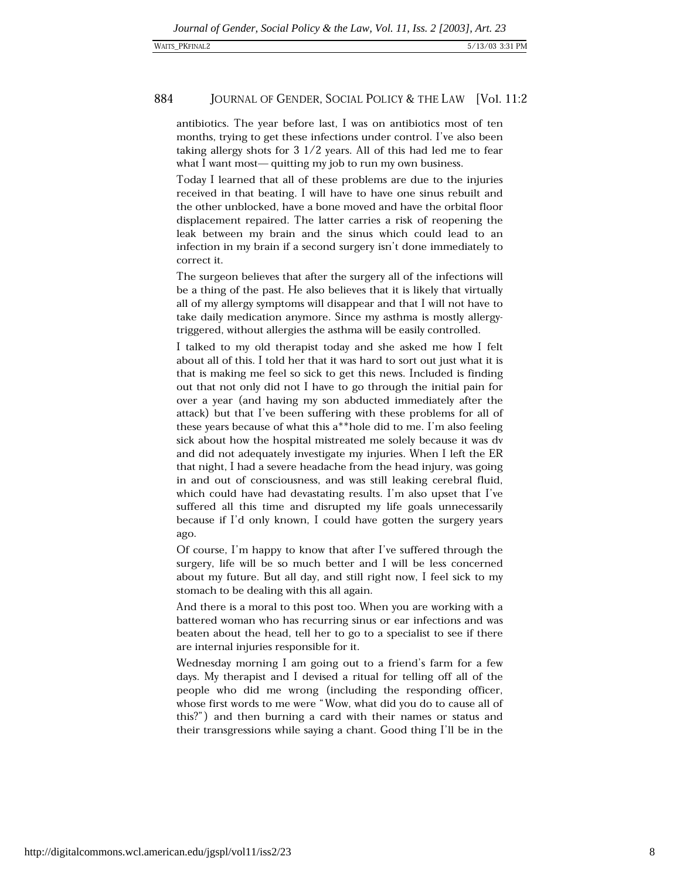antibiotics. The year before last, I was on antibiotics most of ten months, trying to get these infections under control. I've also been taking allergy shots for  $3\frac{1}{2}$  years. All of this had led me to fear what I want most—quitting my job to run my own business.

Today I learned that all of these problems are due to the injuries received in that beating. I will have to have one sinus rebuilt and the other unblocked, have a bone moved and have the orbital floor displacement repaired. The latter carries a risk of reopening the leak between my brain and the sinus which could lead to an infection in my brain if a second surgery isn't done immediately to correct it.

The surgeon believes that after the surgery all of the infections will be a thing of the past. He also believes that it is likely that virtually all of my allergy symptoms will disappear and that I will not have to take daily medication anymore. Since my asthma is mostly allergytriggered, without allergies the asthma will be easily controlled.

I talked to my old therapist today and she asked me how I felt about all of this. I told her that it was hard to sort out just what it is that is making me feel so sick to get this news. Included is finding out that not only did not I have to go through the initial pain for over a year (and having my son abducted immediately after the attack) but that I've been suffering with these problems for all of these years because of what this a\*\*hole did to me. I'm also feeling sick about how the hospital mistreated me solely because it was dv and did not adequately investigate my injuries. When I left the ER that night, I had a severe headache from the head injury, was going in and out of consciousness, and was still leaking cerebral fluid, which could have had devastating results. I'm also upset that I've suffered all this time and disrupted my life goals unnecessarily because if I'd only known, I could have gotten the surgery years ago.

Of course, I'm happy to know that after I've suffered through the surgery, life will be so much better and I will be less concerned about my future. But all day, and still right now, I feel sick to my stomach to be dealing with this all again.

And there is a moral to this post too. When you are working with a battered woman who has recurring sinus or ear infections and was beaten about the head, tell her to go to a specialist to see if there are internal injuries responsible for it.

Wednesday morning I am going out to a friend's farm for a few days. My therapist and I devised a ritual for telling off all of the people who did me wrong (including the responding officer, whose first words to me were "Wow, what did you do to cause all of this?") and then burning a card with their names or status and their transgressions while saying a chant. Good thing I'll be in the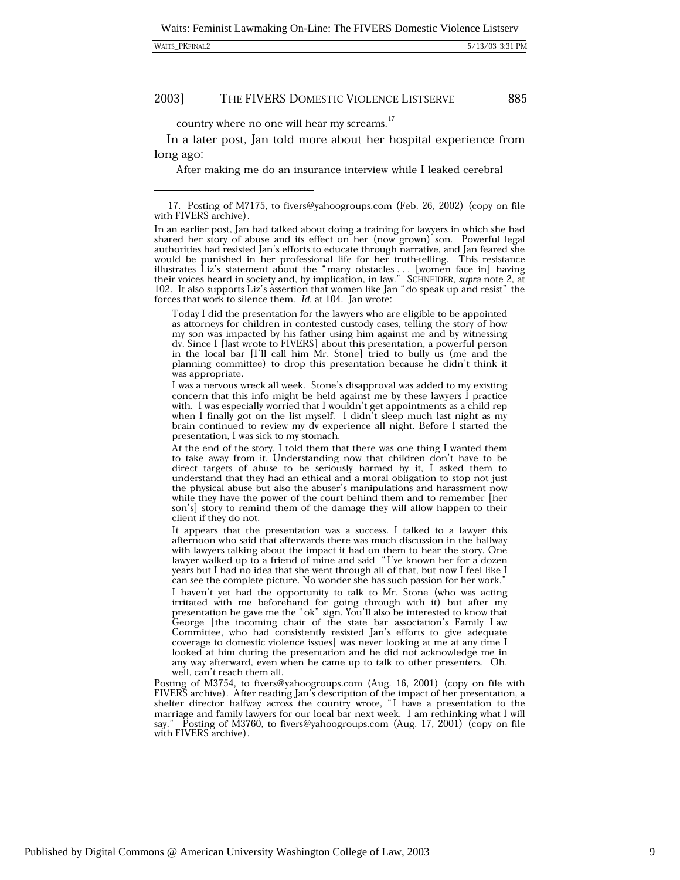#### 2003] THE FIVERS DOMESTIC VIOLENCE LISTSERVE

country where no one will hear my screams.<sup>17</sup>

In a later post, Jan told more about her hospital experience from long ago:

After making me do an insurance interview while I leaked cerebral

Today I did the presentation for the lawyers who are eligible to be appointed as attorneys for children in contested custody cases, telling the story of how my son was impacted by his father using him against me and by witnessing dv. Since I [last wrote to FIVERS] about this presentation, a powerful person in the local bar [I'll call him Mr. Stone] tried to bully us (me and the planning committee) to drop this presentation because he didn't think it was appropriate.

I was a nervous wreck all week. Stone's disapproval was added to my existing concern that this info might be held against me by these lawyers I practice with. I was especially worried that I wouldn't get appointments as a child rep when I finally got on the list myself. I didn't sleep much last night as my brain continued to review my dv experience all night. Before I started the presentation, I was sick to my stomach.

At the end of the story, I told them that there was one thing I wanted them to take away from it. Understanding now that children don't have to be direct targets of abuse to be seriously harmed by it, I asked them to understand that they had an ethical and a moral obligation to stop not just the physical abuse but also the abuser's manipulations and harassment now while they have the power of the court behind them and to remember her son's story to remind them of the damage they will allow happen to their client if they do not.

It appears that the presentation was a success. I talked to a lawyer this afternoon who said that afterwards there was much discussion in the hallway with lawyers talking about the impact it had on them to hear the story. One lawyer walked up to a friend of mine and said "I've known her for a dozen years but I had no idea that she went through all of that, but now I feel like I can see the complete picture. No wonder she has such passion for her work.'

I haven't yet had the opportunity to talk to Mr. Stone (who was acting irritated with me beforehand for going through with it) but after my presentation he gave me the "ok" sign. You'll also be interested to know that George [the incoming chair of the state bar association's Family Law Committee, who had consistently resisted Jan's efforts to give adequate coverage to domestic violence issues] was never looking at me at any time I looked at him during the presentation and he did not acknowledge me in any way afterward, even when he came up to talk to other presenters. Oh, well, can't reach them all.

Posting of M3754, to fivers@yahoogroups.com (Aug. 16, 2001) (copy on file with FIVERS archive). After reading Jan's description of the impact of her presentation, a shelter director halfway across the country wrote, "I have a presentation to the marriage and family lawyers for our local bar next week. I am rethinking what I will say." Posting of M3760, to fivers@yahoogroups.com (Aug. 17, 2001) (copy on file with FIVERS archive).

Published by Digital Commons @ American University Washington College of Law, 2003

<sup>17.</sup> Posting of M7175, to fivers@yahoogroups.com (Feb. 26, 2002) (copy on file with FIVERS archive).

In an earlier post, Jan had talked about doing a training for lawyers in which she had shared her story of abuse and its effect on her (now grown) son. Powerful legal authorities had resisted Jan's efforts to educate through narrative, and Jan feared she would be punished in her professional life for her truth-telling. This resistance illustrates Liz's statement about the "many obstacles ... [women face in] having their voices heard in society and, by implication, in law." 102. It also supports Liz's assertion that women like Jan "do speak up and resist" the forces that work to silence them. Id. at 104. Jan wrote: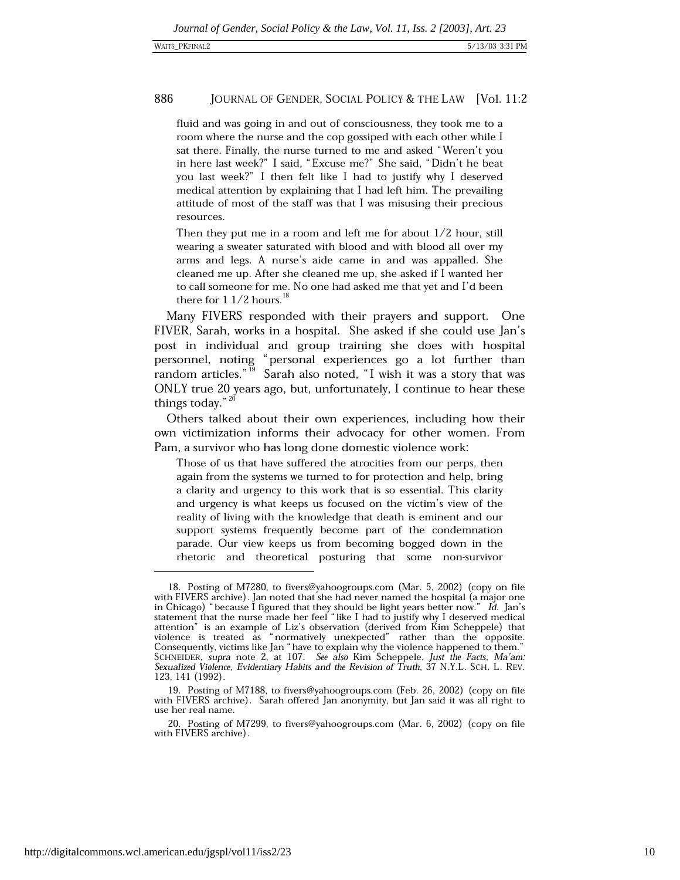fluid and was going in and out of consciousness, they took me to a room where the nurse and the cop gossiped with each other while I sat there. Finally, the nurse turned to me and asked "Weren't you in here last week?" I said, "Excuse me?" She said, "Didn't he beat you last week?" I then felt like I had to justify why I deserved medical attention by explaining that I had left him. The prevailing attitude of most of the staff was that I was misusing their precious resources.

Then they put me in a room and left me for about  $1/2$  hour, still wearing a sweater saturated with blood and with blood all over my arms and legs. A nurse's aide came in and was appalled. She cleaned me up. After she cleaned me up, she asked if I wanted her to call someone for me. No one had asked me that yet and I'd been there for  $11/2$  hours.<sup>18</sup>

Many FIVERS responded with their prayers and support. One FIVER, Sarah, works in a hospital. She asked if she could use Jan's post in individual and group training she does with hospital personnel, noting "personal experiences go a lot further than random articles."<sup>19</sup> Sarah also noted, "I wish it was a story that was ONLY true 20 years ago, but, unfortunately, I continue to hear these things today." $20$ 

Others talked about their own experiences, including how their own victimization informs their advocacy for other women. From Pam, a survivor who has long done domestic violence work:

Those of us that have suffered the atrocities from our perps, then again from the systems we turned to for protection and help, bring a clarity and urgency to this work that is so essential. This clarity and urgency is what keeps us focused on the victim's view of the reality of living with the knowledge that death is eminent and our support systems frequently become part of the condemnation parade. Our view keeps us from becoming bogged down in the rhetoric and theoretical posturing that some non-survivor

<sup>18.</sup> Posting of M7280, to fivers@yahoogroups.com (Mar. 5, 2002) (copy on file with FIVERS archive). Jan noted that she had never named the hospital (a major one in Chicago) "because I figured that they should be light years better now." Id. Jan's statement that the nurse made her feel "like I had to justify why I deserved medical attention" is an example of Liz's observation (derived from Kim Scheppele) that violence is treated as "normatively unexpected" rather than the opposite. Consequently, victims like Jan "have to explain why the violence happened to them." SCHNEIDER, supra note 2, at 107. See also Kim Scheppele, Just the Facts, Ma'am:<br>Sexualized Violence, Evidentiary Habits and the Revision of Truth, 37 N.Y.L. SCH. L. REV. 123, 141 (1992).

<sup>19.</sup> Posting of M7188, to fivers@yahoogroups.com (Feb. 26, 2002) (copy on file with FIVERS archive). Sarah offered Jan anonymity, but Jan said it was all right to use her real name.

<sup>20.</sup> Posting of M7299, to fivers@yahoogroups.com (Mar. 6, 2002) (copy on file with FIVERS archive).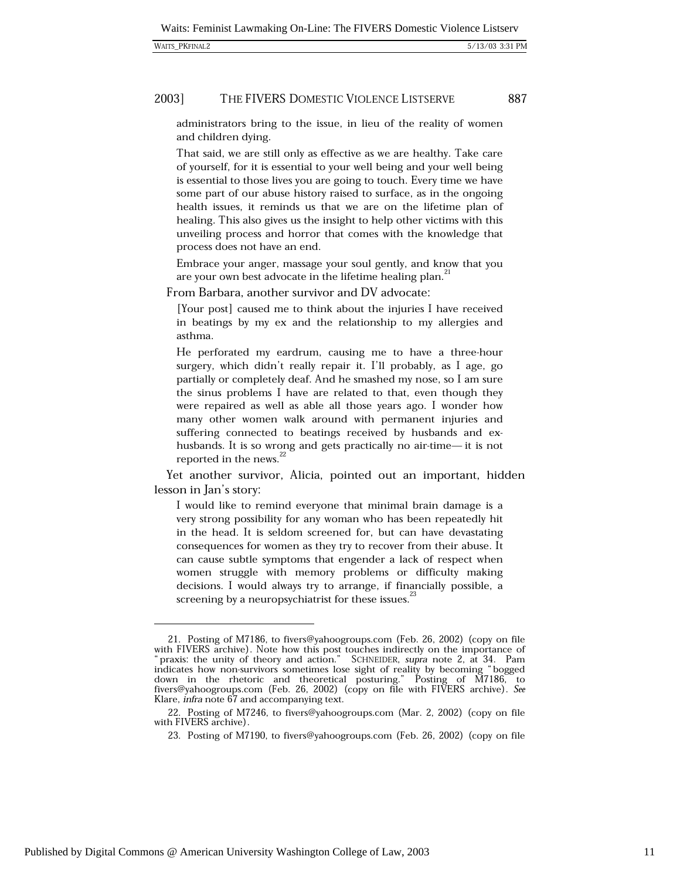#### 2003] THE FIVERS DOMESTIC VIOLENCE LISTSERVE

administrators bring to the issue, in lieu of the reality of women and children dying.

That said, we are still only as effective as we are healthy. Take care of yourself, for it is essential to your well being and your well being is essential to those lives you are going to touch. Every time we have some part of our abuse history raised to surface, as in the ongoing health issues, it reminds us that we are on the lifetime plan of healing. This also gives us the insight to help other victims with this unveiling process and horror that comes with the knowledge that process does not have an end.

Embrace your anger, massage your soul gently, and know that you are your own best advocate in the lifetime healing plan.<sup>21</sup>

From Barbara, another survivor and DV advocate:

[Your post] caused me to think about the injuries I have received in beatings by my ex and the relationship to my allergies and asthma.

He perforated my eardrum, causing me to have a three-hour surgery, which didn't really repair it. I'll probably, as I age, go partially or completely deaf. And he smashed my nose, so I am sure the sinus problems I have are related to that, even though they were repaired as well as able all those years ago. I wonder how many other women walk around with permanent injuries and suffering connected to beatings received by husbands and exhusbands. It is so wrong and gets practically no air-time- it is not reported in the news.<sup>22</sup>

Yet another survivor, Alicia, pointed out an important, hidden lesson in Jan's story:

I would like to remind everyone that minimal brain damage is a very strong possibility for any woman who has been repeatedly hit in the head. It is seldom screened for, but can have devastating consequences for women as they try to recover from their abuse. It can cause subtle symptoms that engender a lack of respect when women struggle with memory problems or difficulty making decisions. I would always try to arrange, if financially possible, a screening by a neuropsychiatrist for these issues.<sup>23</sup>

<sup>21.</sup> Posting of M7186, to fivers@yahoogroups.com (Feb. 26, 2002) (copy on file with FIVERS archive). Note how this post touches indirectly on the importance of praxis: the unity of theory and action." SCHNEIDER, supra note 2, at 34. Pam indicates how non-survivors sometimes lose sight of reality by becoming "bogged down in the rhetoric and theoretical posturing." Posting of M7186, to fivers@yahoogroups.com (Feb. 26, 2002) (copy on file with FIVERS archive). See Klare, *infra* note 67 and accompanying text.

<sup>22.</sup> Posting of M7246, to fivers@yahoogroups.com (Mar. 2, 2002) (copy on file with FIVERS archive).

<sup>23.</sup> Posting of M7190, to fivers@yahoogroups.com (Feb. 26, 2002) (copy on file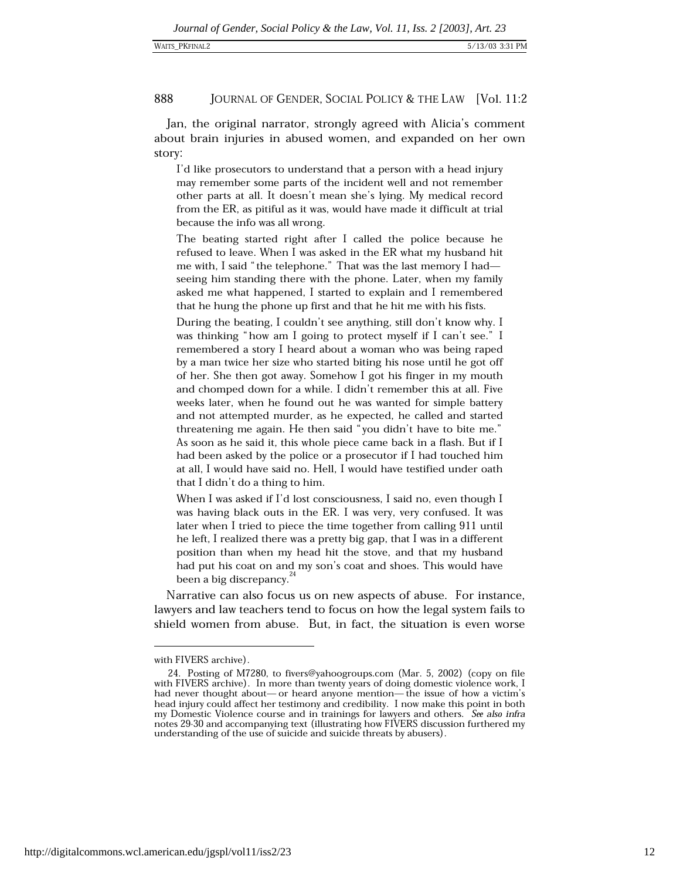Jan, the original narrator, strongly agreed with Alicia's comment about brain injuries in abused women, and expanded on her own story:

I'd like prosecutors to understand that a person with a head injury may remember some parts of the incident well and not remember other parts at all. It doesn't mean she's lying. My medical record from the ER, as pitiful as it was, would have made it difficult at trial because the info was all wrong.

The beating started right after I called the police because he refused to leave. When I was asked in the ER what my husband hit me with, I said "the telephone." That was the last memory I hadseeing him standing there with the phone. Later, when my family asked me what happened, I started to explain and I remembered that he hung the phone up first and that he hit me with his fists.

During the beating, I couldn't see anything, still don't know why. I was thinking "how am I going to protect myself if I can't see." I remembered a story I heard about a woman who was being raped by a man twice her size who started biting his nose until he got off of her. She then got away. Somehow I got his finger in my mouth and chomped down for a while. I didn't remember this at all. Five weeks later, when he found out he was wanted for simple battery and not attempted murder, as he expected, he called and started threatening me again. He then said "you didn't have to bite me." As soon as he said it, this whole piece came back in a flash. But if I had been asked by the police or a prosecutor if I had touched him at all, I would have said no. Hell, I would have testified under oath that I didn't do a thing to him.

When I was asked if I'd lost consciousness, I said no, even though I was having black outs in the ER. I was very, very confused. It was later when I tried to piece the time together from calling 911 until he left, I realized there was a pretty big gap, that I was in a different position than when my head hit the stove, and that my husband had put his coat on and my son's coat and shoes. This would have been a big discrepancy.<sup>24</sup>

Narrative can also focus us on new aspects of abuse. For instance, lawyers and law teachers tend to focus on how the legal system fails to shield women from abuse. But, in fact, the situation is even worse

with FIVERS archive).

<sup>24.</sup> Posting of M7280, to fivers@yahoogroups.com (Mar. 5, 2002) (copy on file with FIVERS archive). In more than twenty years of doing domestic violence work, I had never thought about— or heard anyone mention— the issue of how a victim's head injury could affect her testimony and credibility. I now make this point in both my Domestic Violence course and in trainings for lawyers and others. See also infra notes 29-30 and accompanying text (illustrating how FIVERS discussion furthered my understanding of the use of suicide and suicide threats by abusers).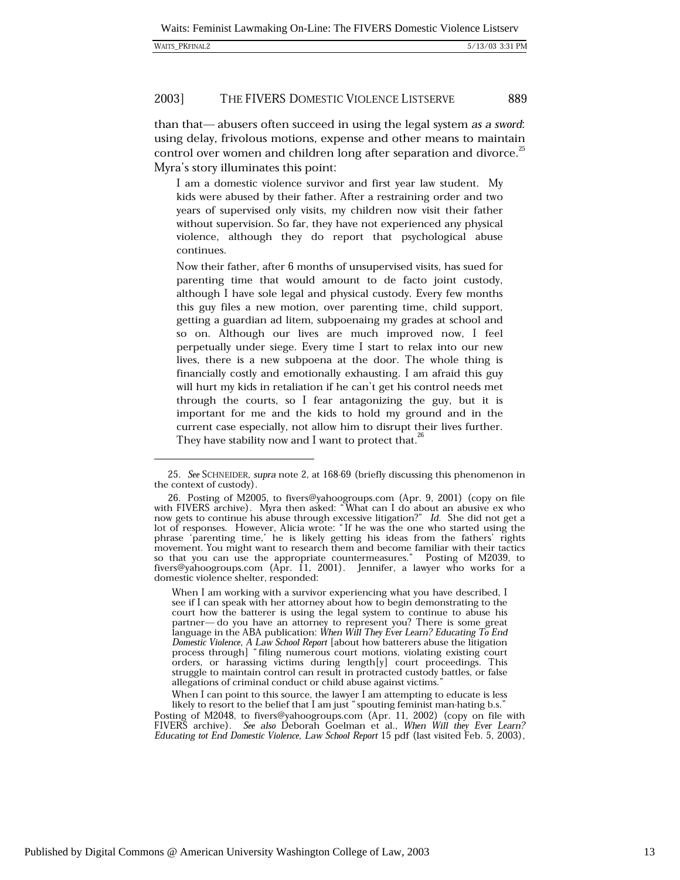#### 2003] THE FIVERS DOMESTIC VIOLENCE LISTSERVE

than that—abusers often succeed in using the legal system as a sword: using delay, frivolous motions, expense and other means to maintain control over women and children long after separation and divorce.<sup>25</sup> Myra's story illuminates this point:

I am a domestic violence survivor and first year law student. My kids were abused by their father. After a restraining order and two years of supervised only visits, my children now visit their father without supervision. So far, they have not experienced any physical violence, although they do report that psychological abuse continues.

Now their father, after 6 months of unsupervised visits, has sued for parenting time that would amount to de facto joint custody, although I have sole legal and physical custody. Every few months this guy files a new motion, over parenting time, child support, getting a guardian ad litem, subpoenaing my grades at school and so on. Although our lives are much improved now, I feel perpetually under siege. Every time I start to relax into our new lives, there is a new subpoena at the door. The whole thing is financially costly and emotionally exhausting. I am afraid this guy will hurt my kids in retaliation if he can't get his control needs met through the courts, so I fear antagonizing the guy, but it is important for me and the kids to hold my ground and in the current case especially, not allow him to disrupt their lives further. They have stability now and I want to protect that.<sup>26</sup>

When I can point to this source, the lawyer I am attempting to educate is less likely to resort to the belief that I am just "spouting feminist man-hating b.s."

<sup>25.</sup> See SCHNEIDER, supra note 2, at 168-69 (briefly discussing this phenomenon in the context of custody).

<sup>26.</sup> Posting of M2005, to fivers@yahoogroups.com (Apr. 9, 2001) (copy on file with FIVERS archive). Myra then asked: "What can I do about an abusive ex who now gets to continue his abuse through excessive litigation?" Id. She did not get a lot of responses. However, Alicia wrote: "If he was the one who started using the phrase 'parenting time,' he is likely getting his ideas from the fathers' rights movement. You might want to research them and become familiar with their tactics so that you can use the appropriate countermeasures." Posting of M2039, to fivers@yahoogroups.com (Apr. 11, 2001). Jennifer, a lawyer who works for a domestic violence shelter, responded:

When I am working with a survivor experiencing what you have described, I see if I can speak with her attorney about how to begin demonstrating to the court how the batterer is using the legal system to continue to abuse his partner- do you have an attorney to represent you? There is some great language in the ABA publication: When Will They Ever Learn? Educating To End Domestic Violence, A Law School Report [about how batterers abuse the litigation process through] "filing numerous court motions, violating existing court orders, or harassing victims during length[y] court proceedings. This struggle to maintain control can result in protracted custody battles, or false allegations of criminal conduct or child abuse against victims.

Posting of M2048, to fivers@yahoogroups.com (Apr. 11, 2002) (copy on file with FIVERS archive). See also Deborah Goelman et al., When Will they Ever Learn? Educating tot End Domestic Violence, Law School Report 15 pdf (last visited Feb. 5, 2003),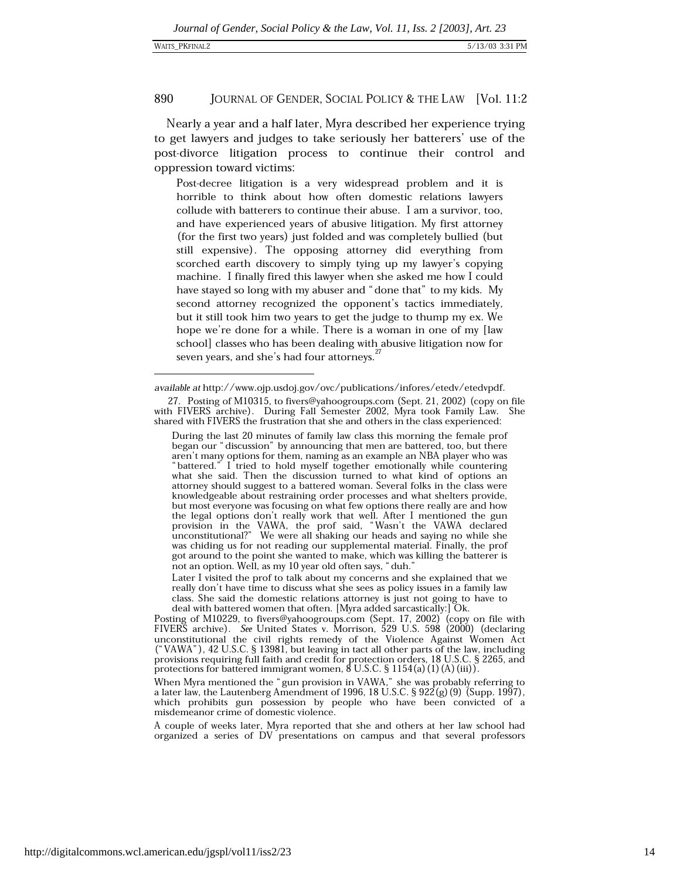Nearly a year and a half later, Myra described her experience trying to get lawyers and judges to take seriously her batterers' use of the post-divorce litigation process to continue their control and oppression toward victims:

Post-decree litigation is a very widespread problem and it is horrible to think about how often domestic relations lawyers collude with batterers to continue their abuse. I am a survivor, too, and have experienced years of abusive litigation. My first attorney (for the first two years) just folded and was completely bullied (but still expensive). The opposing attorney did everything from scorched earth discovery to simply tying up my lawyer's copying machine. I finally fired this lawyer when she asked me how I could have stayed so long with my abuser and "done that" to my kids. My second attorney recognized the opponent's tactics immediately, but it still took him two years to get the judge to thump my ex. We hope we're done for a while. There is a woman in one of my [law school] classes who has been dealing with abusive litigation now for seven years, and she's had four attorneys.<sup>27</sup>

Later I visited the prof to talk about my concerns and she explained that we really don't have time to discuss what she sees as policy issues in a family law class. She said the domestic relations attorney is just not going to have to deal with battered women that often. [Myra added sarcastically:] Ok.

Posting of M10229, to fivers@yahoogroups.com (Sept. 17, 2002) (copy on file with FIVERS archive). See United States v. Morrison, 529 U.S. 598 (2000) (declaring unconstitutional the civil rights remedy of the Violence Again provisions requiring full faith and credit for protection orders, 18 U.S.C. § 2265, and protections for battered immigrant women,  $\delta$  U.S.C. § 1154(a)(1)(A)(iii)).

When Myra mentioned the "gun provision in VAWA," she was probably referring to a later law, the Lautenberg Amendment of 1996,  $18$  U.S.C.  $\S$  922(g)(9) (Supp. 1997), which prohibits gun possession by people who have been convicted of a misdemeanor crime of domestic violence.

A couple of weeks later, Myra reported that she and others at her law school had organized a series of DV presentations on campus and that several professors

available at http://www.ojp.usdoj.gov/ovc/publications/infores/etedv/etedvpdf.

<sup>27.</sup> Posting of M10315, to fivers@yahoogroups.com (Sept. 21, 2002) (copy on file with FIVERS archive). During Fall Semester 2002, Myra took Family Law. She shared with FIVERS the frustration that she and others in the class experienced:

During the last 20 minutes of family law class this morning the female prof began our "discussion" by announcing that men are battered, too, but there aren't many options for them, naming as an example an NBA player who was "battered." I tried to hold myself together emotionally while countering what she said. Then the discussion turned to what kind of options an attorney should suggest to a battered woman. Several folks in the class were knowledgeable about restraining order processes and what shelters provide, but most everyone was focusing on what few options there really are and how be the legal options don't really work that well. After I mentioned the gun<br>provision in the VAWA, the prof said, "Wasn't the VAWA declared<br>unconstitutional?" We were all shaking our heads and saying no while she was chiding us for not reading our supplemental material. Finally, the prof got around to the point she wanted to make, which was killing the batterer is not an option. Well, as my 10 year old often says, "duh."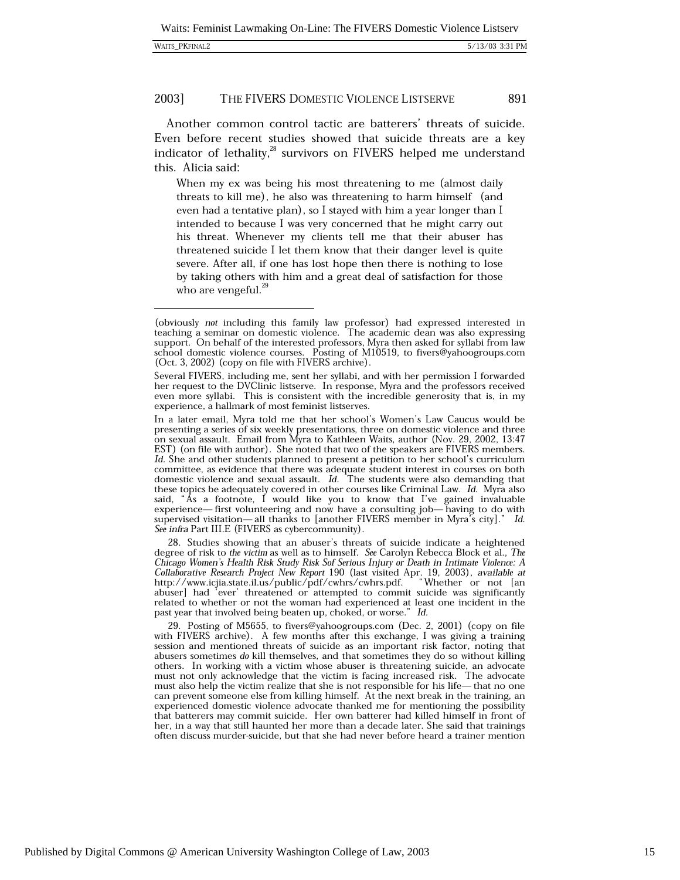|  | <b>WAITS PKFINAL2</b> |
|--|-----------------------|
|--|-----------------------|

891

Another common control tactic are batterers' threats of suicide. Even before recent studies showed that suicide threats are a key indicator of lethality,<sup>28</sup> survivors on FIVERS helped me understand this. Alicia said:

When my ex was being his most threatening to me (almost daily threats to kill me), he also was threatening to harm himself (and even had a tentative plan), so I stayed with him a year longer than I intended to because I was very concerned that he might carry out his threat. Whenever my clients tell me that their abuser has threatened suicide I let them know that their danger level is quite severe. After all, if one has lost hope then there is nothing to lose by taking others with him and a great deal of satisfaction for those who are vengeful.<sup>29</sup>

28. Studies showing that an abuser's threats of suicide indicate a heightened degree of risk to the victim as well as to himself. See Carolyn Rebecca Block et al., The Chicago Women's Health Risk Study Risk Sof Serious Injury or Death in Intimate Violence: A Collaborative Research Project New Report 190 (last visited Apr. 19, 2003), available at<br>http://www.icjia.state.il.us/public/pdf/cwhrs/cwhrs.pdf. "Whether or not [an abuser] had 'ever' threatened or attempted to commit suicide was significantly related to whether or not the woman had experienced at least one incident in the past year that involved being beaten up, choked, or worse." Id.

29. Posting of M5655, to fivers@yahoogroups.com (Dec. 2, 2001) (copy on file with FIVERS archive). A few months after this exchange, I was giving a training session and mentioned threats of suicide as an important risk factor, noting that abusers sometimes do kill themselves, and that sometimes they do so without killing others. In working with a victim whose abuser is threatening suicide, an advocate must not only acknowledge that the victim is facing increased risk. The advocate must also help the victim realize that she is not responsible for his life— that no one can prevent someone else from killing himself. At the next break in the training, an experienced domestic violence advocate thanked me for mentioning the possibility that batterers may commit suicide. Her own batterer had killed himself in front of her, in a way that still haunted her more than a decade later. She said that trainings often discuss murder-suicide, but that she had never before heard a trainer mention

<sup>(</sup>obviously *not* including this family law professor) had expressed interested in teaching a seminar on domestic violence. The academic dean was also expressing support. On behalf of the interested professors, Myra then asked for syllabi from law school domestic violence courses. Posting of M10519, to fivers@yahoogroups.com (Oct. 3, 2002) (copy on file with FIVERS archive).

Several FIVERS, including me, sent her syllabi, and with her permission I forwarded her request to the DVClinic listserve. In response, Myra and the professors received even more syllabi. This is consistent with the incredible generosity that is, in my experience, a hallmark of most feminist listserves.

In a later email, Myra told me that her school's Women's Law Caucus would be presenting a series of six weekly presentations, three on domestic violence and three on sexual assault. Email from Myra to Kathleen Waits, author (Nov. 29, 2002, 13:47 EST) (on file with author). She noted that two of the speakers are FIVERS members. Id. She and other students planned to present a petition to her school's curriculum committee, as evidence that there was adequate student interest in courses on both domestic violence and sexual assault. Id. The students were also demanding that these topics be adequately covered in other courses like Criminal Law. Id. Myra also said, "As a footnote, I would like you to know that I've gained invaluable<br>experience—first volunteering and now have a consulting job—having to do with supervised visitation— all thanks to [another FIVERS member in Myra's city]." Id. See infra Part III.E (FIVERS as cybercommunity).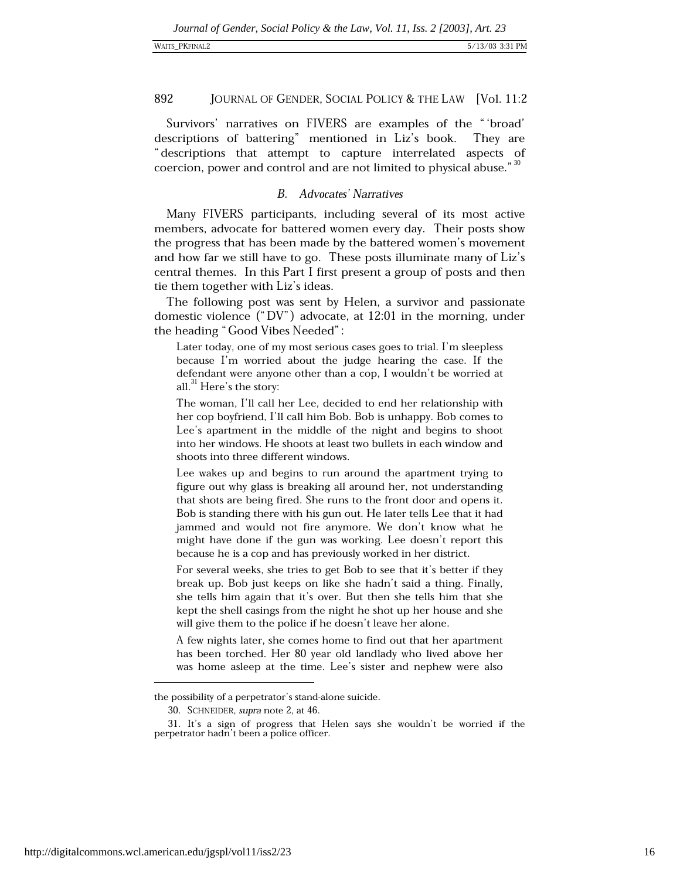Survivors' narratives on FIVERS are examples of the "'broad' descriptions of battering" mentioned in Liz's book. They are "descriptions that attempt to capture interrelated aspects of coercion, power and control and are not limited to physical abuse."<sup>30</sup>

### $B_{\cdot}$ Advocates' Narratives

Many FIVERS participants, including several of its most active members, advocate for battered women every day. Their posts show the progress that has been made by the battered women's movement and how far we still have to go. These posts illuminate many of Liz's central themes. In this Part I first present a group of posts and then tie them together with Liz's ideas.

The following post was sent by Helen, a survivor and passionate domestic violence ("DV") advocate, at 12:01 in the morning, under the heading "Good Vibes Needed":

Later today, one of my most serious cases goes to trial. I'm sleepless because I'm worried about the judge hearing the case. If the defendant were anyone other than a cop, I wouldn't be worried at all.<sup>31</sup> Here's the story:

The woman, I'll call her Lee, decided to end her relationship with her cop boyfriend, I'll call him Bob. Bob is unhappy. Bob comes to Lee's apartment in the middle of the night and begins to shoot into her windows. He shoots at least two bullets in each window and shoots into three different windows.

Lee wakes up and begins to run around the apartment trying to figure out why glass is breaking all around her, not understanding that shots are being fired. She runs to the front door and opens it. Bob is standing there with his gun out. He later tells Lee that it had jammed and would not fire anymore. We don't know what he might have done if the gun was working. Lee doesn't report this because he is a cop and has previously worked in her district.

For several weeks, she tries to get Bob to see that it's better if they break up. Bob just keeps on like she hadn't said a thing. Finally, she tells him again that it's over. But then she tells him that she kept the shell casings from the night he shot up her house and she will give them to the police if he doesn't leave her alone.

A few nights later, she comes home to find out that her apartment has been torched. Her 80 year old landlady who lived above her was home asleep at the time. Lee's sister and nephew were also

the possibility of a perpetrator's stand-alone suicide.

<sup>30.</sup> SCHNEIDER, supra note 2, at 46.

<sup>31.</sup> It's a sign of progress that Helen says she wouldn't be worried if the perpetrator hadn't been a police officer.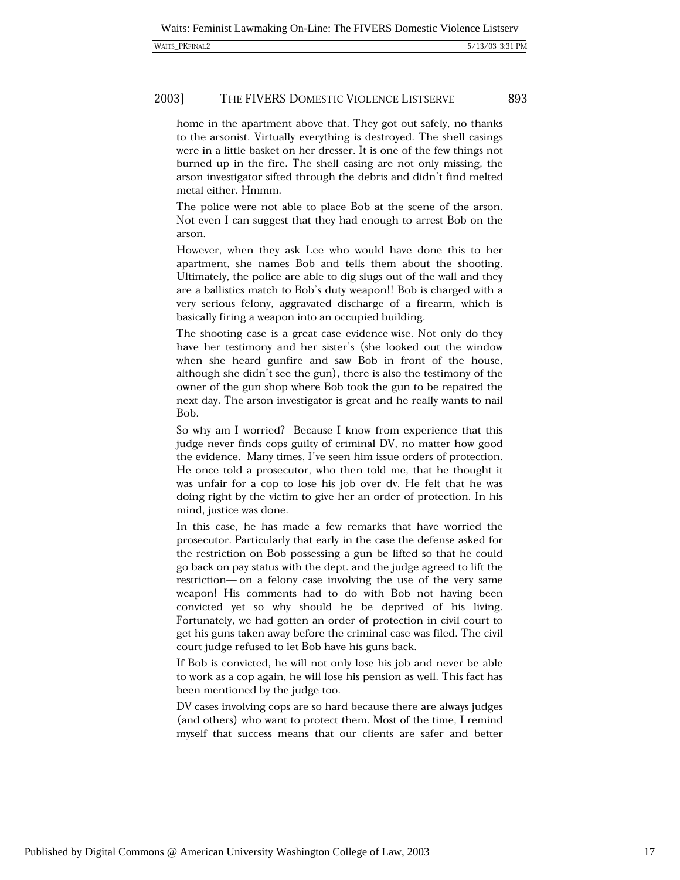#### 2003] THE FIVERS DOMESTIC VIOLENCE LISTSERVE

home in the apartment above that. They got out safely, no thanks to the arsonist. Virtually everything is destroyed. The shell casings were in a little basket on her dresser. It is one of the few things not burned up in the fire. The shell casing are not only missing, the arson investigator sifted through the debris and didn't find melted metal either. Hmmm.

The police were not able to place Bob at the scene of the arson. Not even I can suggest that they had enough to arrest Bob on the arson.

However, when they ask Lee who would have done this to her apartment, she names Bob and tells them about the shooting. Ultimately, the police are able to dig slugs out of the wall and they are a ballistics match to Bob's duty weapon!! Bob is charged with a very serious felony, aggravated discharge of a firearm, which is basically firing a weapon into an occupied building.

The shooting case is a great case evidence-wise. Not only do they have her testimony and her sister's (she looked out the window when she heard gunfire and saw Bob in front of the house, although she didn't see the gun), there is also the testimony of the owner of the gun shop where Bob took the gun to be repaired the next day. The arson investigator is great and he really wants to nail Bob.

So why am I worried? Because I know from experience that this judge never finds cops guilty of criminal DV, no matter how good the evidence. Many times, I've seen him issue orders of protection. He once told a prosecutor, who then told me, that he thought it was unfair for a cop to lose his job over dv. He felt that he was doing right by the victim to give her an order of protection. In his mind, justice was done.

In this case, he has made a few remarks that have worried the prosecutor. Particularly that early in the case the defense asked for the restriction on Bob possessing a gun be lifted so that he could go back on pay status with the dept. and the judge agreed to lift the restriction— on a felony case involving the use of the very same weapon! His comments had to do with Bob not having been convicted yet so why should he be deprived of his living. Fortunately, we had gotten an order of protection in civil court to get his guns taken away before the criminal case was filed. The civil court judge refused to let Bob have his guns back.

If Bob is convicted, he will not only lose his job and never be able to work as a cop again, he will lose his pension as well. This fact has been mentioned by the judge too.

DV cases involving cops are so hard because there are always judges (and others) who want to protect them. Most of the time, I remind myself that success means that our clients are safer and better

Published by Digital Commons @ American University Washington College of Law, 2003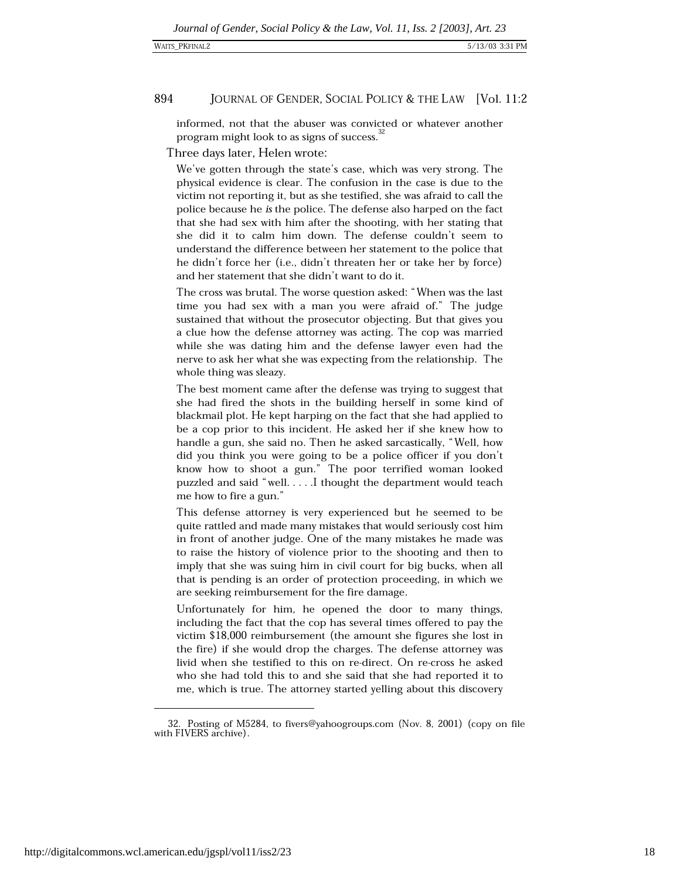### WAITS\_PKFINAL2

#### 894 JOURNAL OF GENDER, SOCIAL POLICY & THE LAW [Vol. 11:2

informed, not that the abuser was convicted or whatever another program might look to as signs of success.<sup>32</sup>

Three days later, Helen wrote:

We've gotten through the state's case, which was very strong. The physical evidence is clear. The confusion in the case is due to the victim not reporting it, but as she testified, she was afraid to call the police because he is the police. The defense also harped on the fact that she had sex with him after the shooting, with her stating that she did it to calm him down. The defense couldn't seem to understand the difference between her statement to the police that he didn't force her (i.e., didn't threaten her or take her by force) and her statement that she didn't want to do it.

The cross was brutal. The worse question asked: "When was the last time you had sex with a man you were afraid of." The judge sustained that without the prosecutor objecting. But that gives you a clue how the defense attorney was acting. The cop was married while she was dating him and the defense lawyer even had the nerve to ask her what she was expecting from the relationship. The whole thing was sleazy.

The best moment came after the defense was trying to suggest that she had fired the shots in the building herself in some kind of blackmail plot. He kept harping on the fact that she had applied to be a cop prior to this incident. He asked her if she knew how to handle a gun, she said no. Then he asked sarcastically, "Well, how did you think you were going to be a police officer if you don't know how to shoot a gun." The poor terrified woman looked puzzled and said "well.....I thought the department would teach me how to fire a gun."

This defense attorney is very experienced but he seemed to be quite rattled and made many mistakes that would seriously cost him in front of another judge. One of the many mistakes he made was to raise the history of violence prior to the shooting and then to imply that she was suing him in civil court for big bucks, when all that is pending is an order of protection proceeding, in which we are seeking reimbursement for the fire damage.

Unfortunately for him, he opened the door to many things, including the fact that the cop has several times offered to pay the victim \$18,000 reimbursement (the amount she figures she lost in the fire) if she would drop the charges. The defense attorney was livid when she testified to this on re-direct. On re-cross he asked who she had told this to and she said that she had reported it to me, which is true. The attorney started yelling about this discovery

<sup>32.</sup> Posting of M5284, to fivers@yahoogroups.com (Nov. 8, 2001) (copy on file with FIVERS archive).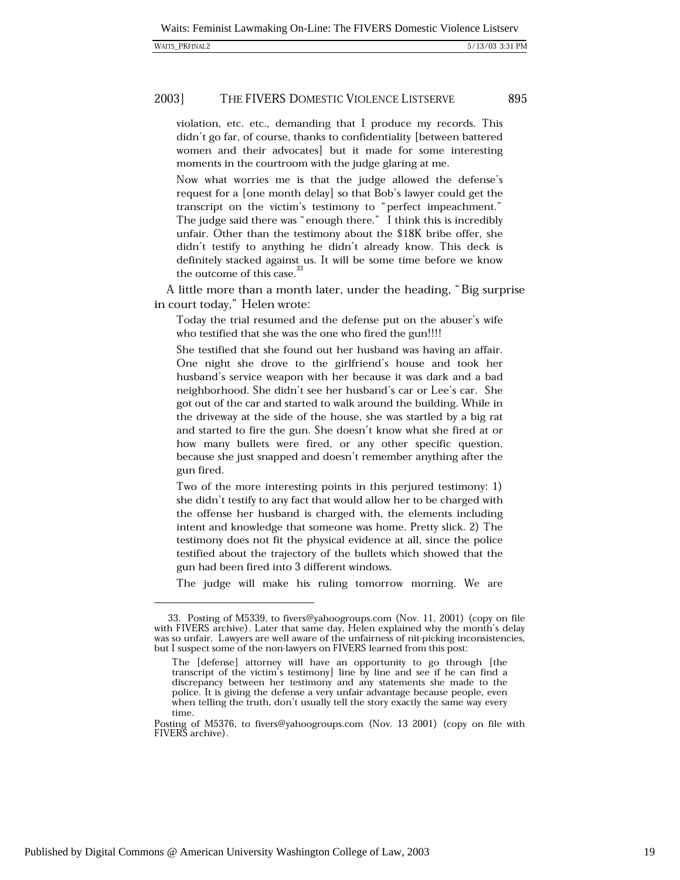#### 2003] THE FIVERS DOMESTIC VIOLENCE LISTSERVE

violation, etc. etc., demanding that I produce my records. This didn't go far, of course, thanks to confidentiality [between battered women and their advocates] but it made for some interesting moments in the courtroom with the judge glaring at me.

Now what worries me is that the judge allowed the defense's request for a [one month delay] so that Bob's lawyer could get the transcript on the victim's testimony to "perfect impeachment." The judge said there was "enough there." I think this is incredibly unfair. Other than the testimony about the \$18K bribe offer, she didn't testify to anything he didn't already know. This deck is definitely stacked against us. It will be some time before we know the outcome of this case.<sup>33</sup>

A little more than a month later, under the heading, "Big surprise" in court today," Helen wrote:

Today the trial resumed and the defense put on the abuser's wife who testified that she was the one who fired the gun!!!!

She testified that she found out her husband was having an affair. One night she drove to the girlfriend's house and took her husband's service weapon with her because it was dark and a bad neighborhood. She didn't see her husband's car or Lee's car. She got out of the car and started to walk around the building. While in the driveway at the side of the house, she was startled by a big rat and started to fire the gun. She doesn't know what she fired at or how many bullets were fired, or any other specific question, because she just snapped and doesn't remember anything after the gun fired.

Two of the more interesting points in this perjured testimony: 1) she didn't testify to any fact that would allow her to be charged with the offense her husband is charged with, the elements including intent and knowledge that someone was home. Pretty slick. 2) The testimony does not fit the physical evidence at all, since the police testified about the trajectory of the bullets which showed that the gun had been fired into 3 different windows.

The judge will make his ruling tomorrow morning. We are

<sup>33.</sup> Posting of M5339, to fivers@yahoogroups.com (Nov. 11, 2001) (copy on file with FIVERS archive). Later that same day, Helen explained why the month's delay was so unfair. Lawyers are well aware of the unfairness of nit-picking inconsistencies, but I suspect some of the non-lawyers on FIVERS learned from this post:

The [defense] attorney will have an opportunity to go through [the transcript of the victim's testimony] line by line and see if he can find a discrepancy between her testimony and any statements she made to the police. It is giving the defense a very unfair advantage because people, even when telling the truth, don't usually tell the story exactly the same way every time.

Posting of M5376, to fivers@yahoogroups.com (Nov. 13 2001) (copy on file with FIVERS archive).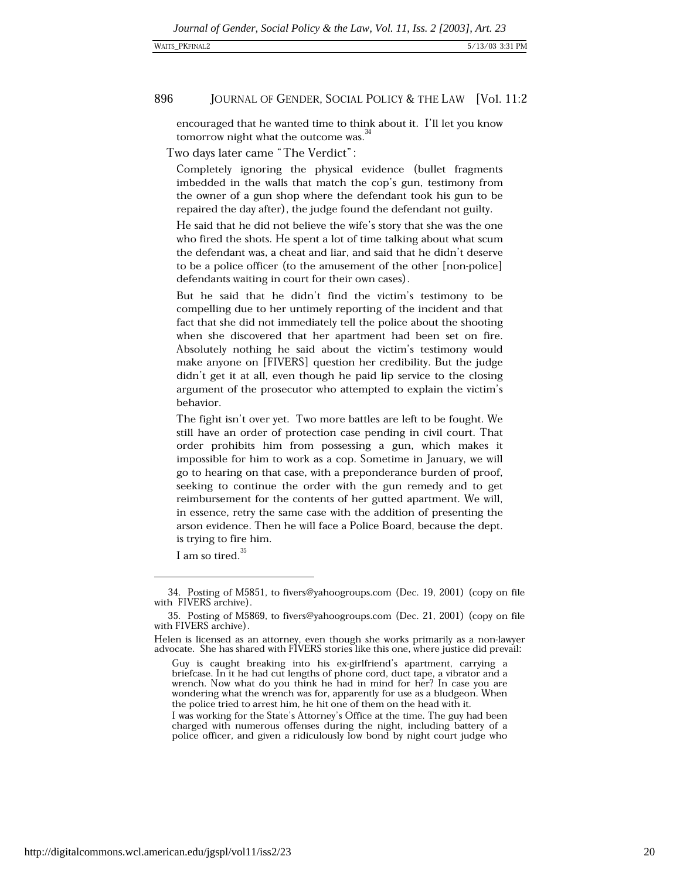encouraged that he wanted time to think about it. I'll let you know tomorrow night what the outcome was.<sup>34</sup>

Two days later came "The Verdict":

Completely ignoring the physical evidence (bullet fragments imbedded in the walls that match the cop's gun, testimony from the owner of a gun shop where the defendant took his gun to be repaired the day after), the judge found the defendant not guilty.

He said that he did not believe the wife's story that she was the one who fired the shots. He spent a lot of time talking about what scum the defendant was, a cheat and liar, and said that he didn't deserve to be a police officer (to the amusement of the other [non-police] defendants waiting in court for their own cases).

But he said that he didn't find the victim's testimony to be compelling due to her untimely reporting of the incident and that fact that she did not immediately tell the police about the shooting when she discovered that her apartment had been set on fire. Absolutely nothing he said about the victim's testimony would make anyone on [FIVERS] question her credibility. But the judge didn't get it at all, even though he paid lip service to the closing argument of the prosecutor who attempted to explain the victim's behavior.

The fight isn't over yet. Two more battles are left to be fought. We still have an order of protection case pending in civil court. That order prohibits him from possessing a gun, which makes it impossible for him to work as a cop. Sometime in January, we will go to hearing on that case, with a preponderance burden of proof, seeking to continue the order with the gun remedy and to get reimbursement for the contents of her gutted apartment. We will, in essence, retry the same case with the addition of presenting the arson evidence. Then he will face a Police Board, because the dept. is trying to fire him.

I am so tired.<sup>35</sup>

<sup>34.</sup> Posting of M5851, to fivers@yahoogroups.com (Dec. 19, 2001) (copy on file with FIVERS archive)

<sup>35.</sup> Posting of M5869, to fivers@yahoogroups.com (Dec. 21, 2001) (copy on file with FIVERS archive).

Helen is licensed as an attorney, even though she works primarily as a non-lawyer advocate. She has shared with FIVERS stories like this one, where justice did prevail:

Guy is caught breaking into his ex-girlfriend's apartment, carrying a briefcase. In it he had cut lengths of phone cord, duct tape, a vibrator and a wrench. Now what do you think he had in mind for her? In case you are wondering what the wrench was for, apparently for use as a bludgeon. When the police tried to arrest him, he hit one of them on the head with it.

I was working for the State's Attorney's Office at the time. The guy had been charged with numerous offenses during the night, including battery of a police officer, and given a ridiculously low bond by night court judge who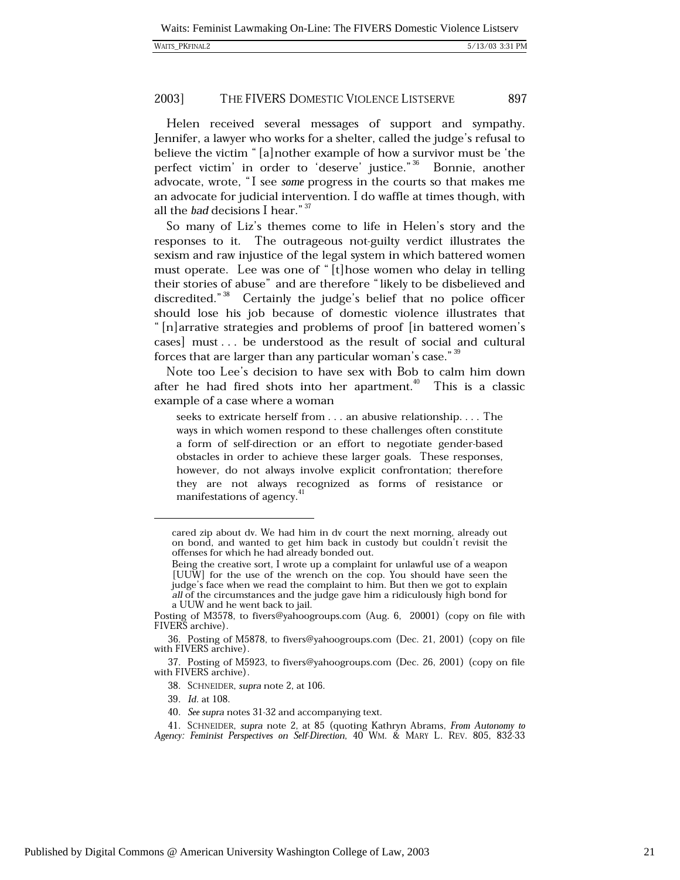|  | <b>WAITS PKFINAL2</b> |
|--|-----------------------|
|--|-----------------------|

Helen received several messages of support and sympathy. Jennifer, a lawyer who works for a shelter, called the judge's refusal to believe the victim "[a] nother example of how a survivor must be 'the perfect victim' in order to 'deserve' justice."<sup>36</sup> Bonnie, another advocate, wrote, "I see some progress in the courts so that makes me an advocate for judicial intervention. I do waffle at times though, with all the bad decisions I hear." 37

So many of Liz's themes come to life in Helen's story and the responses to it. The outrageous not-guilty verdict illustrates the sexism and raw injustice of the legal system in which battered women must operate. Lee was one of "[t]hose women who delay in telling their stories of abuse" and are therefore "likely to be disbelieved and discredited."<sup>38</sup> Certainly the judge's belief that no police officer should lose his job because of domestic violence illustrates that "[n] arrative strategies and problems of proof [in battered women's cases] must... be understood as the result of social and cultural forces that are larger than any particular woman's case."<sup>39</sup>

Note too Lee's decision to have sex with Bob to calm him down after he had fired shots into her apartment.<sup>40</sup> This is a classic example of a case where a woman

seeks to extricate herself from . . . an abusive relationship. . . . The ways in which women respond to these challenges often constitute a form of self-direction or an effort to negotiate gender-based obstacles in order to achieve these larger goals. These responses, however, do not always involve explicit confrontation; therefore they are not always recognized as forms of resistance or manifestations of agency.<sup>41</sup>

cared zip about dv. We had him in dv court the next morning, already out on bond, and wanted to get him back in custody but couldn't revisit the offenses for which he had already bonded out.

Being the creative sort, I wrote up a complaint for unlawful use of a weapon [UUW] for the use of the wrench on the cop. You should have seen the judge's face when we read the complaint to him. But then we got to explain all of the circumstances and the judge gave him a ridiculously high bond for a UUW and he went back to jail.

Posting of M3578, to fivers@yahoogroups.com (Aug. 6, 20001) (copy on file with FIVERS archive).

<sup>36.</sup> Posting of M5878, to fivers@yahoogroups.com (Dec. 21, 2001) (copy on file with FIVERS archive).

<sup>37.</sup> Posting of M5923, to fivers@yahoogroups.com (Dec. 26, 2001) (copy on file with FIVERS archive).

<sup>38.</sup> SCHNEIDER, supra note 2, at 106.

<sup>39.</sup> Id. at 108.

<sup>40.</sup> See supra notes 31-32 and accompanying text.

<sup>41.</sup> SCHNEIDER, supra note 2, at 85 (quoting Kathryn Abrams, From Autonomy to Agency: Feminist Perspectives on Self-Direction, 40 WM. & MARY L. REV. 805, 832-33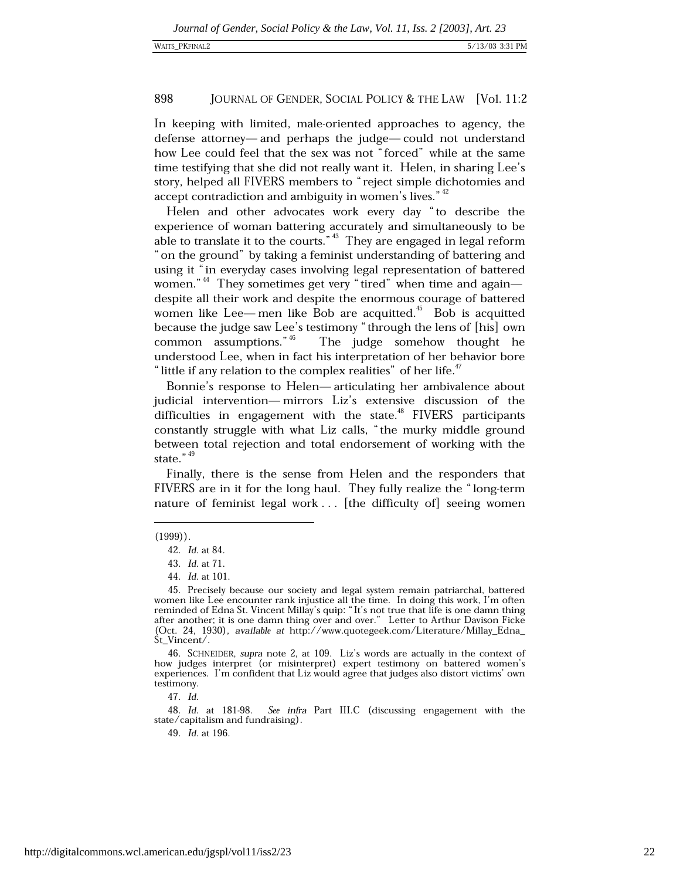In keeping with limited, male-oriented approaches to agency, the defense attorney—and perhaps the judge—could not understand how Lee could feel that the sex was not "forced" while at the same time testifying that she did not really want it. Helen, in sharing Lee's story, helped all FIVERS members to "reject simple dichotomies and accept contradiction and ambiguity in women's lives."<sup>42</sup>

Helen and other advocates work every day "to describe the experience of woman battering accurately and simultaneously to be able to translate it to the courts."  $43$  They are engaged in legal reform " on the ground" by taking a feminist understanding of battering and using it "in everyday cases involving legal representation of battered women." $44$  They sometimes get very "tired" when time and again despite all their work and despite the enormous courage of battered women like Lee— men like Bob are acquitted.<sup>45</sup> Bob is acquitted because the judge saw Lee's testimony "through the lens of [his] own common assumptions."  $46$ The judge somehow thought he understood Lee, when in fact his interpretation of her behavior bore "little if any relation to the complex realities" of her life."

Bonnie's response to Helen-articulating her ambivalence about judicial intervention—mirrors Liz's extensive discussion of the difficulties in engagement with the state.<sup>48</sup> FIVERS participants constantly struggle with what Liz calls, "the murky middle ground between total rejection and total endorsement of working with the state." $49$ 

Finally, there is the sense from Helen and the responders that FIVERS are in it for the long haul. They fully realize the "long-term nature of feminist legal work . . . [the difficulty of] seeing women

47. Id.

See infra Part III.C (discussing engagement with the 48. Id. at 181-98. state/capitalism and fundraising).

49. Id. at 196.

 $(1999)$ .

<sup>42.</sup> *Id.* at 84.

<sup>43.</sup> *Id.* at 71.

<sup>44.</sup> *Id.* at 101.

<sup>45.</sup> Precisely because our society and legal system remain patriarchal, battered women like Lee encounter rank injustice all the time. In doing this work, I'm often reminded of Edna St. Vincent Millay's quip: "It's not true that life is one damn thing after another; it is one damn thing over and over." Letter to Arthur Davison Ficke (Oct. 24, 1930), available at http://www.quotegeek.com/Literature/Millay\_Edna\_ St\_Vincent/.

<sup>46.</sup> SCHNEIDER, supra note 2, at 109. Liz's words are actually in the context of how judges interpret (or misinterpret) expert testimony on battered women's experiences. I'm confident that Liz would agree that judges also distort victims' own testimony.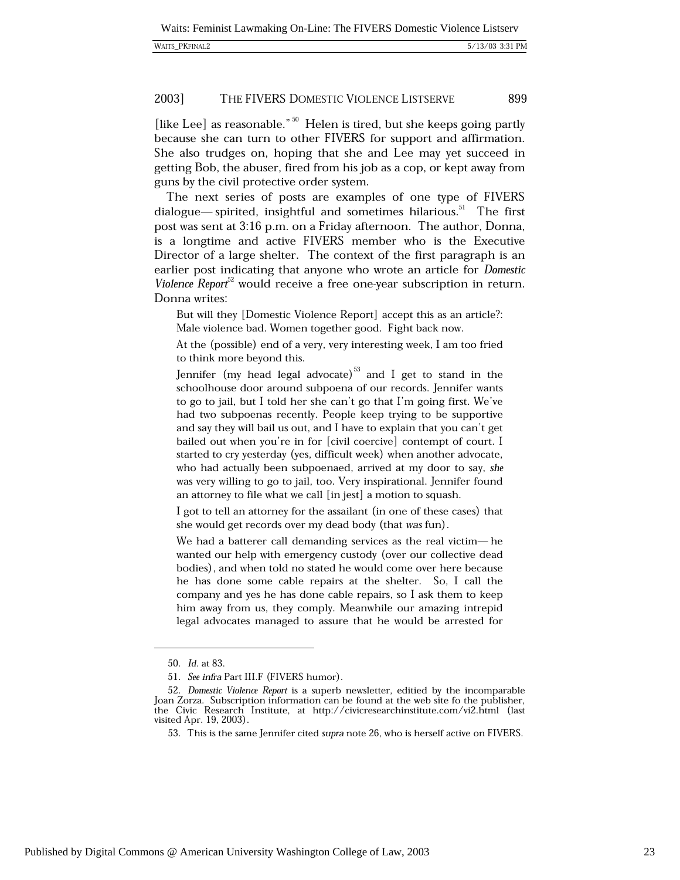| <b>WAITS PKFINAL2</b> |  |
|-----------------------|--|
|-----------------------|--|

[like Lee] as reasonable."  $50$  Helen is tired, but she keeps going partly because she can turn to other FIVERS for support and affirmation. She also trudges on, hoping that she and Lee may yet succeed in getting Bob, the abuser, fired from his job as a cop, or kept away from guns by the civil protective order system.

The next series of posts are examples of one type of FIVERS dialogue—spirited, insightful and sometimes hilarious.<sup>51</sup> The first post was sent at 3:16 p.m. on a Friday afternoon. The author, Donna, is a longtime and active FIVERS member who is the Executive Director of a large shelter. The context of the first paragraph is an earlier post indicating that anyone who wrote an article for Domestic Violence Report<sup>32</sup> would receive a free one-year subscription in return. Donna writes:

But will they [Domestic Violence Report] accept this as an article?: Male violence bad. Women together good. Fight back now.

At the (possible) end of a very, very interesting week, I am too fried to think more beyond this.

Jennifer (my head legal advocate)<sup>53</sup> and I get to stand in the schoolhouse door around subpoena of our records. Jennifer wants to go to jail, but I told her she can't go that I'm going first. We've had two subpoenas recently. People keep trying to be supportive and say they will bail us out, and I have to explain that you can't get bailed out when you're in for [civil coercive] contempt of court. I started to cry yesterday (yes, difficult week) when another advocate, who had actually been subpoenaed, arrived at my door to say, she was very willing to go to jail, too. Very inspirational. Jennifer found an attorney to file what we call [in jest] a motion to squash.

I got to tell an attorney for the assailant (in one of these cases) that she would get records over my dead body (that was fun).

We had a batterer call demanding services as the real victim— he wanted our help with emergency custody (over our collective dead bodies), and when told no stated he would come over here because he has done some cable repairs at the shelter. So, I call the company and yes he has done cable repairs, so I ask them to keep him away from us, they comply. Meanwhile our amazing intrepid legal advocates managed to assure that he would be arrested for

<sup>50.</sup> Id. at 83.

<sup>51.</sup> See infra Part III.F (FIVERS humor).

<sup>52.</sup> Domestic Violence Report is a superb newsletter, editied by the incomparable Joan Zorza. Subscription information can be found at the web site fo the publisher, the Civic Research Institute, at http://civicresearchinstitute.com/vi2.html (last visited Apr. 19, 2003).

<sup>53.</sup> This is the same Jennifer cited supra note 26, who is herself active on FIVERS.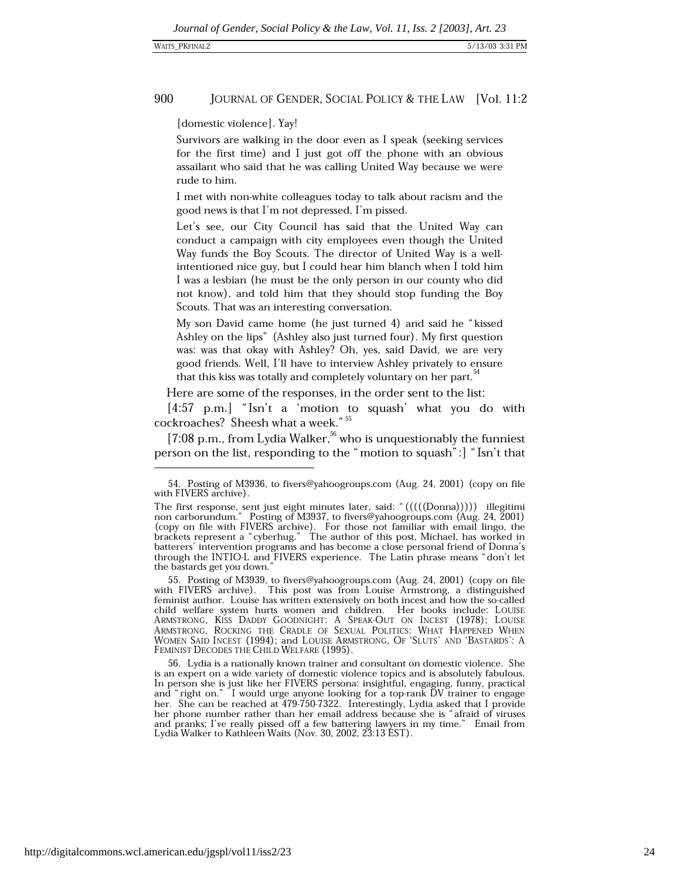[domestic violence]. Yay!

Survivors are walking in the door even as I speak (seeking services for the first time) and I just got off the phone with an obvious assailant who said that he was calling United Way because we were rude to him.

I met with non-white colleagues today to talk about racism and the good news is that I'm not depressed. I'm pissed.

Let's see, our City Council has said that the United Way can conduct a campaign with city employees even though the United Way funds the Boy Scouts. The director of United Way is a wellintentioned nice guy, but I could hear him blanch when I told him I was a lesbian (he must be the only person in our county who did not know), and told him that they should stop funding the Boy Scouts. That was an interesting conversation.

My son David came home (he just turned 4) and said he "kissed Ashley on the lips" (Ashley also just turned four). My first question was: was that okay with Ashley? Oh, yes, said David, we are very good friends. Well, I'll have to interview Ashley privately to ensure that this kiss was totally and completely voluntary on her part.<sup>34</sup>

Here are some of the responses, in the order sent to the list:

[4:57 p.m.] "Isn't a 'motion to squash' what you do with cockroaches? Sheesh what a week."<sup>55</sup>

[7:08 p.m., from Lydia Walker,  $56$  who is unquestionably the funniest person on the list, responding to the "motion to squash": | "Isn't that

56. Lydia is a nationally known trainer and consultant on domestic violence. She is an expert on a wide variety of domestic violence topics and is absolutely fabulous. In person she is just like her FIVERS persona: insightful, engaging, funny, practical and "right on." I would urge anyone looking for a top-rank DV trainer to engage her. She can be reached at 479-750-7322. Interestingly, Lydia asked that I provide her phone number rather than her email address because she is "afraid of viruses and pranks; I've really pissed off a few battering lawyers in my time." Email from Lydia Walker to Kathleen Waits (Nov. 30, 2002, 23:13 EST).

<sup>54.</sup> Posting of M3936, to fivers@yahoogroups.com (Aug. 24, 2001) (copy on file with FIVERS archive).

The first response, sent just eight minutes later, said: " (((((Donna))))) illegitimi non carborundum." Posting of M3937, to fivers@yahoogroups.com (Aug. 24, 2001)<br>(copy on file with FIVERS archive). For those not familiar with email lingo, the brackets represent a "cyberhug." The author of this post, Michael, has worked in batterers' intervention programs and has become a close personal friend of Donna's through the INTIO-L and FIVERS experience. The Latin phrase means "don't let the bastards get you down."

Posting of M3939, to fivers@yahoogroups.com (Aug. 24, 2001) (copy on file with FIVERS archive). This post was from Louise Armstrong, a distinguished feminist author. Louise has written extensively on both incest and how the so-called child welfare system hurts women and children. Her books include: LOUISE ARMSTRONG, KISS DADDY GOODNIGHT: A SPEAK-OUT ON INCEST (1978); LOUISE ARMSTRONG, ROCKING THE CRADLE OF SEXUAL POLITICS: WHAT HAPPENED WHEN WOMEN SAID INCEST (1994); and LOUISE ARMSTRONG, OF 'SLUTS' AND 'BASTARDS': A FEMINIST DECODES THE CHILD WELFARE (1995).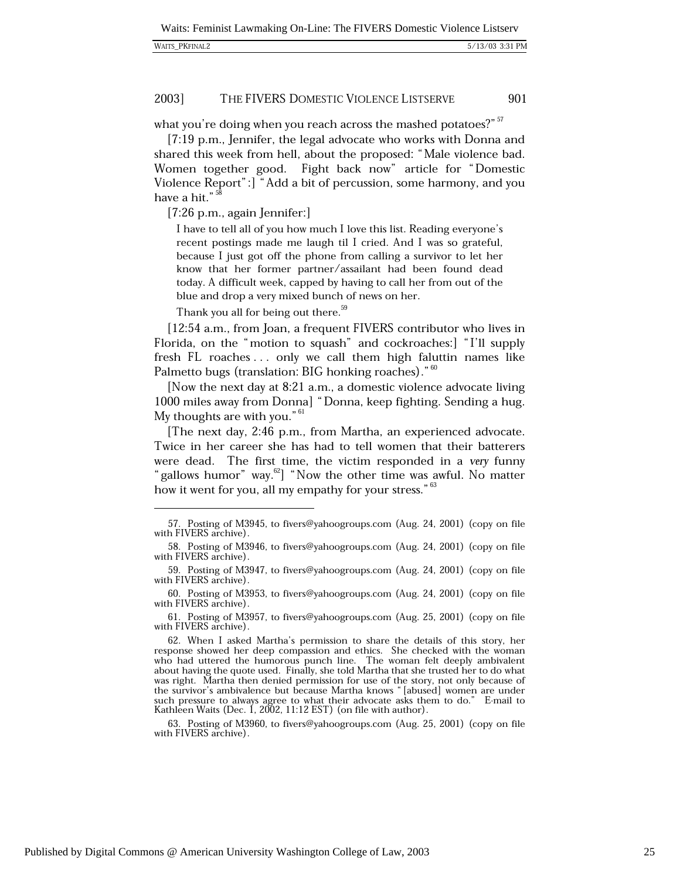what you're doing when you reach across the mashed potatoes?" 57

[7:19 p.m., Jennifer, the legal advocate who works with Donna and shared this week from hell, about the proposed: "Male violence bad. Women together good. Fight back now" article for "Domestic Violence Report": | "Add a bit of percussion, some harmony, and you have a hit."<sup>58</sup>

 $[7:26$  p.m., again Jennifer:

I have to tell all of you how much I love this list. Reading everyone's recent postings made me laugh til I cried. And I was so grateful, because I just got off the phone from calling a survivor to let her know that her former partner/assailant had been found dead today. A difficult week, capped by having to call her from out of the blue and drop a very mixed bunch of news on her.

Thank you all for being out there.<sup>59</sup>

[12:54 a.m., from Joan, a frequent FIVERS contributor who lives in Florida, on the "motion to squash" and cockroaches: ["I'll supply fresh FL roaches ... only we call them high faluttin names like Palmetto bugs (translation: BIG honking roaches)."<sup>60</sup>

[Now the next day at 8:21 a.m., a domestic violence advocate living 1000 miles away from Donna] "Donna, keep fighting. Sending a hug. My thoughts are with you."<sup>61</sup>

[The next day, 2:46 p.m., from Martha, an experienced advocate.] Twice in her career she has had to tell women that their batterers were dead. The first time, the victim responded in a very funny "gallows humor" way.<sup>62</sup>] "Now the other time was awful. No matter how it went for you, all my empathy for your stress."<sup>63</sup>

61. Posting of M3957, to fivers@yahoogroups.com (Aug. 25, 2001) (copy on file with FIVERS archive).

63. Posting of M3960, to fivers@yahoogroups.com (Aug. 25, 2001) (copy on file with FIVERS archive).

<sup>57.</sup> Posting of M3945, to fivers@yahoogroups.com (Aug. 24, 2001) (copy on file with FIVERS archive).

<sup>58.</sup> Posting of M3946, to fivers@yahoogroups.com (Aug. 24, 2001) (copy on file with FIVERS archive).

<sup>59.</sup> Posting of M3947, to fivers@yahoogroups.com (Aug. 24, 2001) (copy on file with FIVERS archive).

<sup>60.</sup> Posting of M3953, to fivers@yahoogroups.com (Aug. 24, 2001) (copy on file with FIVERS archive).

<sup>62.</sup> When I asked Martha's permission to share the details of this story, her response showed her deep compassion and ethics. She checked with the woman who had uttered the humorous punch line. The woman felt deeply ambivalent about having the quote used. Finally, she told Martha that she trusted her to do what was right. Martha then denied permission for use of the story, not only because of the survivor's ambivalence but because Martha knows "[abused] women are under such pressure to always agree to what their advocate asks them to do." E-mail to Kathleen Waits (Dec. 1, 2002, 11:12 EST) (on file with author).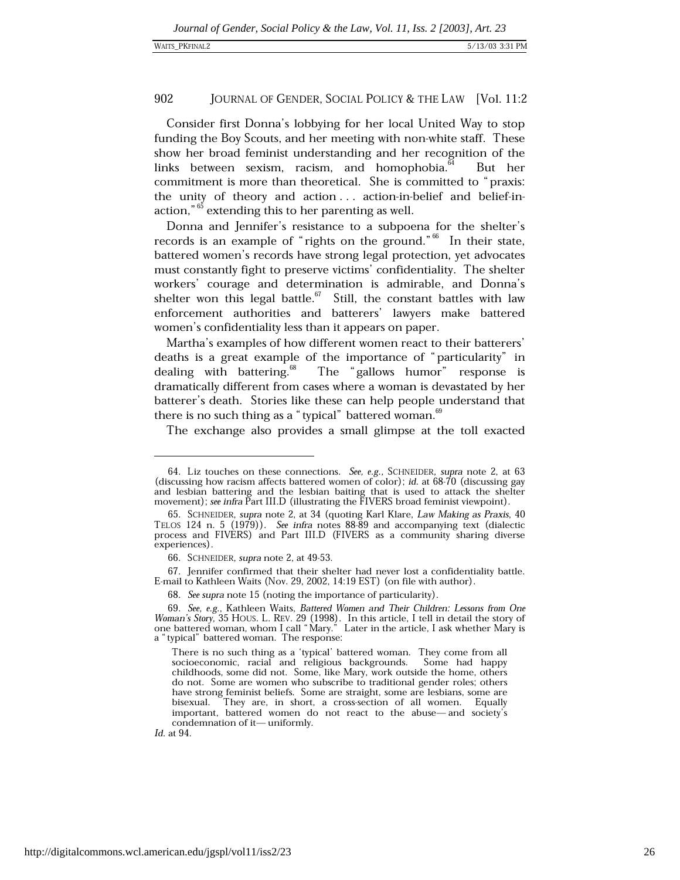Consider first Donna's lobbying for her local United Way to stop funding the Boy Scouts, and her meeting with non-white staff. These show her broad feminist understanding and her recognition of the links between sexism, racism, and homophobia. But her commitment is more than theoretical. She is committed to "praxis: the unity of theory and action ... action-in-belief and belief-inaction,"<sup>65</sup> extending this to her parenting as well.

Donna and Jennifer's resistance to a subpoena for the shelter's records is an example of "rights on the ground."<sup>66</sup> In their state, battered women's records have strong legal protection, yet advocates must constantly fight to preserve victims' confidentiality. The shelter workers' courage and determination is admirable, and Donna's shelter won this legal battle.  $67$  Still, the constant battles with law enforcement authorities and batterers' lawyers make battered women's confidentiality less than it appears on paper.

Martha's examples of how different women react to their batterers' deaths is a great example of the importance of "particularity" in dealing with battering.<sup>68</sup> The "gallows humor" response is dramatically different from cases where a woman is devastated by her batterer's death. Stories like these can help people understand that there is no such thing as a "typical" battered woman.<sup>69</sup>

The exchange also provides a small glimpse at the toll exacted

67. Jennifer confirmed that their shelter had never lost a confidentiality battle. E-mail to Kathleen Waits (Nov. 29, 2002, 14:19 EST) (on file with author).

68. See supra note 15 (noting the importance of particularity).

Id. at 94.

<sup>64.</sup> Liz touches on these connections. See, e.g., SCHNEIDER, supra note 2, at 63 (discussing how racism affects battered women of color); id. at 68-70 (discussing gay and lesbian battering and the lesbian baiting that is used to attack the shelter movement); see infra Part III.D (illustrating the FIVERS broad feminist viewpoint).

<sup>65.</sup> SCHNEIDER, supra note 2, at 34 (quoting Karl Klare, Law Making as Praxis, 40 TELOS 124 n. 5 (1979)). See infra notes 88-89 and accompanying text (dialectic process and FIVERS) and Part III.D (FIVERS as a community sharing diverse experiences).

<sup>66.</sup> SCHNEIDER, *supra* note 2, at 49-53.

<sup>69.</sup> See, e.g., Kathleen Waits, Battered Women and Their Children: Lessons from One Woman's Story, 35 HOUS. L. REV. 29 (1998). In this article, I tell in detail the story of one battered woman, whom I call "Mary." Later in the article, I ask whether Mary is a "typical" battered woman. The response:

There is no such thing as a 'typical' battered woman. They come from all socioeconomic, racial and religious backgrounds. Some had happy childhoods, some did not. Some, like Mary, work outside the home, others do not. Some are women who subscribe to traditional gender roles; others have strong feminist beliefs. Some are straight, some are lesbians, some are They are, in short, a cross-section of all women. Equally bisexual. important, battered women do not react to the abuse—and society's condemnation of it-uniformly.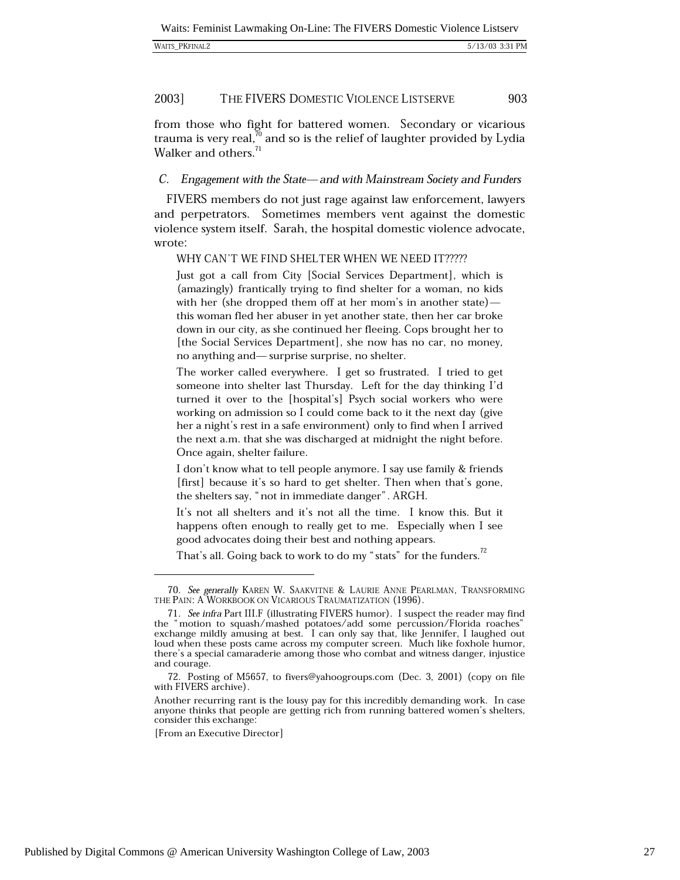| WAITS PKFINAL2 |  |
|----------------|--|
|----------------|--|

from those who fight for battered women. Secondary or vicarious trauma is very real, $^{\prime\prime}$  and so is the relief of laughter provided by Lydia Walker and others.<sup>71</sup>

# C. Engagement with the State—and with Mainstream Society and Funders

FIVERS members do not just rage against law enforcement, lawyers and perpetrators. Sometimes members vent against the domestic violence system itself. Sarah, the hospital domestic violence advocate, wrote:

WHY CAN'T WE FIND SHELTER WHEN WE NEED IT?????

Just got a call from City [Social Services Department], which is (amazingly) frantically trying to find shelter for a woman, no kids with her (she dropped them off at her mom's in another state) this woman fled her abuser in yet another state, then her car broke down in our city, as she continued her fleeing. Cops brought her to [the Social Services Department], she now has no car, no money, no anything and—surprise surprise, no shelter.

The worker called everywhere. I get so frustrated. I tried to get someone into shelter last Thursday. Left for the day thinking I'd turned it over to the [hospital's] Psych social workers who were working on admission so I could come back to it the next day (give her a night's rest in a safe environment) only to find when I arrived the next a.m. that she was discharged at midnight the night before. Once again, shelter failure.

I don't know what to tell people anymore. I say use family & friends [first] because it's so hard to get shelter. Then when that's gone, the shelters say, "not in immediate danger". ARGH.

It's not all shelters and it's not all the time. I know this. But it happens often enough to really get to me. Especially when I see good advocates doing their best and nothing appears.

That's all. Going back to work to do my "stats" for the funders.<sup>72</sup>

<sup>70.</sup> See generally KAREN W. SAAKVITNE & LAURIE ANNE PEARLMAN, TRANSFORMING THE PAIN: A WORKBOOK ON VICARIOUS TRAUMATIZATION (1996).

<sup>71.</sup> See infra Part III.F (illustrating FIVERS humor). I suspect the reader may find the "motion to squash/mashed potatoes/add some percussion/Florida roaches" exchange mildly amusing at best. I can only say that, like Jennifer, I laughed out loud when these posts came across my computer screen. Much like foxhole humor, there's a special camaraderie among those who combat and witness danger, injustice and courage.

<sup>72.</sup> Posting of M5657, to fivers@yahoogroups.com (Dec. 3, 2001) (copy on file with FIVERS archive).

Another recurring rant is the lousy pay for this incredibly demanding work. In case anyone thinks that people are getting rich from running battered women's shelters, consider this exchange:

<sup>[</sup>From an Executive Director]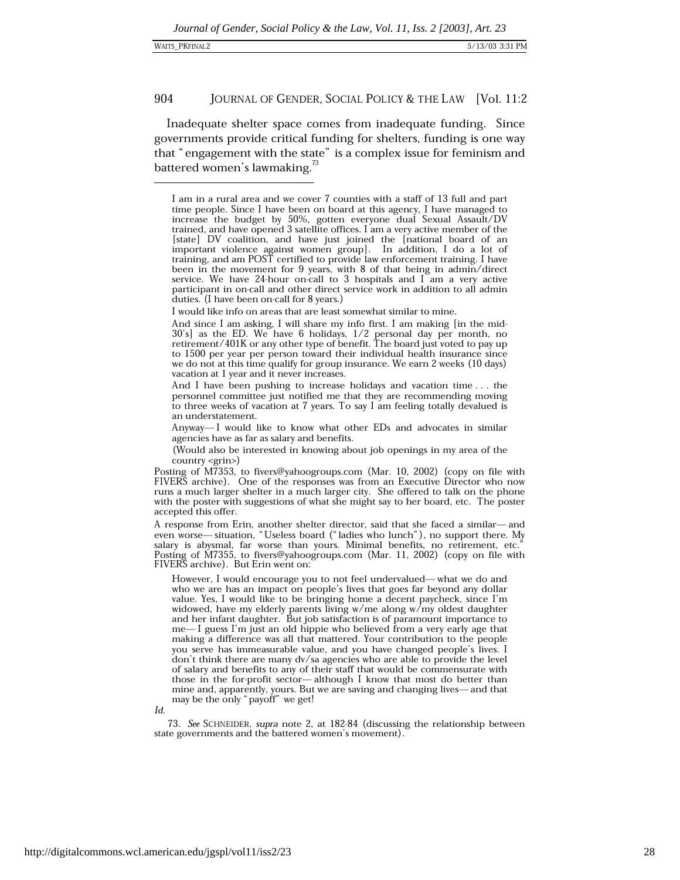| <b>WAITS PKFINAL2</b> |
|-----------------------|
|                       |

Inadequate shelter space comes from inadequate funding. Since governments provide critical funding for shelters, funding is one way that "engagement with the state" is a complex issue for feminism and battered women's lawmaking.<sup>73</sup>

I would like info on areas that are least somewhat similar to mine.

And since I am asking, I will share my info first. I am making [in the mid- $30's$ ] as the ED. We have 6 holidays,  $1/2$  personal day per month, no retirement/ $401K$  or any other type of benefit. The board just voted to pay up to 1500 per year per person toward their individual health insurance since we do not at this time qualify for group insurance. We earn 2 weeks (10 days) vacation at 1 year and it never increases.

And I have been pushing to increase holidays and vacation time . . . the personnel committee just notified me that they are recommending moving to three weeks of vacation at 7 years. To say I am feeling totally devalued is an understatement.

Anyway—I would like to know what other EDs and advocates in similar agencies have as far as salary and benefits.

(Would also be interested in knowing about job openings in my area of the  $country  $\langle \text{grin} \rangle$$ 

Posting of M7353, to fivers@yahoogroups.com (Mar. 10, 2002) (copy on file with FIVERS archive). One of the responses was from an Executive Director who now runs a much larger shelter in a much larger city. She offered to talk on the phone with the poster with suggestions of what she might say to her board, etc. The poster accepted this offer.

A response from Erin, another shelter director, said that she faced a similar-and even worse—situation, "Useless board ("ladies who lunch"), no support there. My salary is abysmal, far worse than yours. Minimal benefits, no retirement, etc. Posting of M7355, to fivers@yahoogroups.com (Mar. 11, 2002) (copy on file with FIVERS archive). But Erin went on:

However, I would encourage you to not feel undervalued-what we do and who we are has an impact on people's lives that goes far beyond any dollar value. Yes, I would like to be bringing home a decent paycheck, since I'm widowed, have my elderly parents living w/me along w/my oldest daughter and her infant daughter. But job satisfaction is of paramount importance to me— I guess I'm just an old hippie who believed from a very early age that making a difference was all that mattered. Your contribution to the people you serve has immeasurable value, and you have changed people's lives. I don't think there are many dv/sa agencies who are able to provide the level of salary and benefits to any of their staff that would be commensurate with those in the for-profit sector—although  $I$  know that most do better than mine and, apparently, yours. But we are saving and changing lives—and that may be the only "payoff" we get!

 $Id$ 

73. See SCHNEIDER, supra note 2, at 182-84 (discussing the relationship between state governments and the battered women's movement).

I am in a rural area and we cover 7 counties with a staff of 13 full and part time people. Since I have been on board at this agency, I have managed to increase the budget by 50%, gotten everyone dual Sexual Assault/DV trained, and have opened 3 satellite offices. I am a very active member of the [state] DV coalition, and have just joined the [national board of an important violence against women group]. In addition, I do a lot of training, and am POST certified to provide law enforcement training. I have been in the movement for 9 years, with 8 of that being in admin/direct service. We have 24-hour on-call to 3 hospitals and I am a very active participant in on-call and other direct service work in addition to all admin duties. (I have been on-call for 8 years.)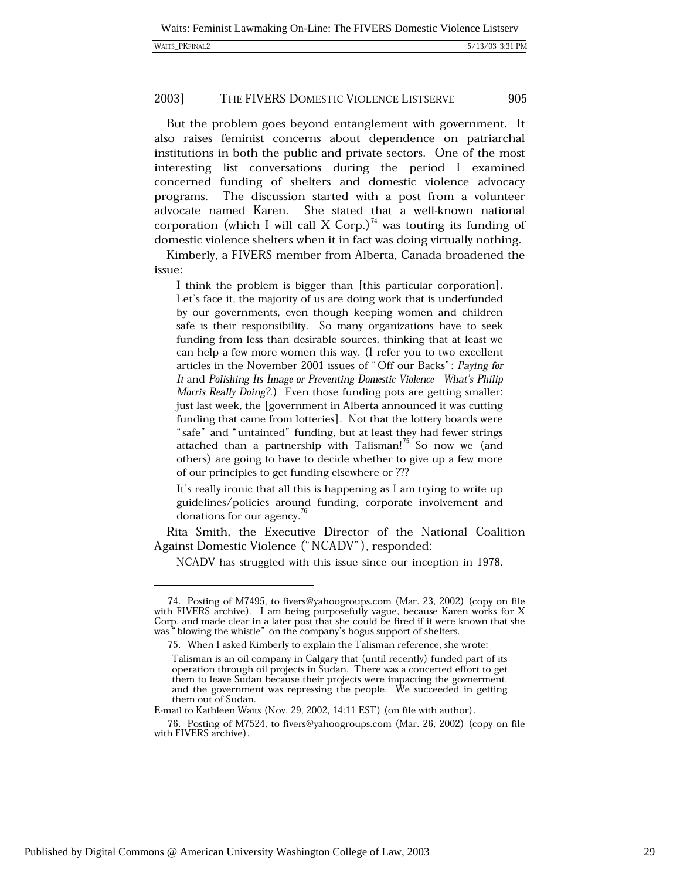| <b>WAITS PKFINAL2</b> |  |
|-----------------------|--|
|-----------------------|--|

But the problem goes beyond entanglement with government. It also raises feminist concerns about dependence on patriarchal institutions in both the public and private sectors. One of the most interesting list conversations during the period I examined concerned funding of shelters and domestic violence advocacy programs. The discussion started with a post from a volunteer She stated that a well-known national advocate named Karen. corporation (which I will call X Corp.)<sup>74</sup> was touting its funding of domestic violence shelters when it in fact was doing virtually nothing.

Kimberly, a FIVERS member from Alberta, Canada broadened the issue:

I think the problem is bigger than [this particular corporation]. Let's face it, the majority of us are doing work that is underfunded by our governments, even though keeping women and children safe is their responsibility. So many organizations have to seek funding from less than desirable sources, thinking that at least we can help a few more women this way. (I refer you to two excellent articles in the November 2001 issues of "Off our Backs": Paying for It and Polishing Its Image or Preventing Domestic Violence - What's Philip Morris Really Doing?.) Even those funding pots are getting smaller: just last week, the [government in Alberta announced it was cutting funding that came from lotteries. Not that the lottery boards were "safe" and "untainted" funding, but at least they had fewer strings attached than a partnership with Talisman!<sup>75</sup> So now we (and others) are going to have to decide whether to give up a few more of our principles to get funding elsewhere or ???

It's really ironic that all this is happening as I am trying to write up guidelines/policies around funding, corporate involvement and donations for our agency.<sup>76</sup>

Rita Smith, the Executive Director of the National Coalition Against Domestic Violence ("NCADV"), responded:

NCADV has struggled with this issue since our inception in 1978.

<sup>74.</sup> Posting of M7495, to fivers@yahoogroups.com (Mar. 23, 2002) (copy on file with FIVERS archive). I am being purposefully vague, because Karen works for X Corp. and made clear in a later post that she could be fired if it were known that she was "blowing the whistle" on the company's bogus support of shelters.

<sup>75.</sup> When I asked Kimberly to explain the Talisman reference, she wrote:

Talisman is an oil company in Calgary that (until recently) funded part of its operation through oil projects in Sudan. There was a concerted effort to get them to leave Sudan because their projects were impacting the govnerment, and the government was repressing the people. We succeeded in getting them out of Sudan.

E-mail to Kathleen Waits (Nov. 29, 2002, 14:11 EST) (on file with author).

<sup>76.</sup> Posting of M7524, to fivers@yahoogroups.com (Mar. 26, 2002) (copy on file with FIVERS archive).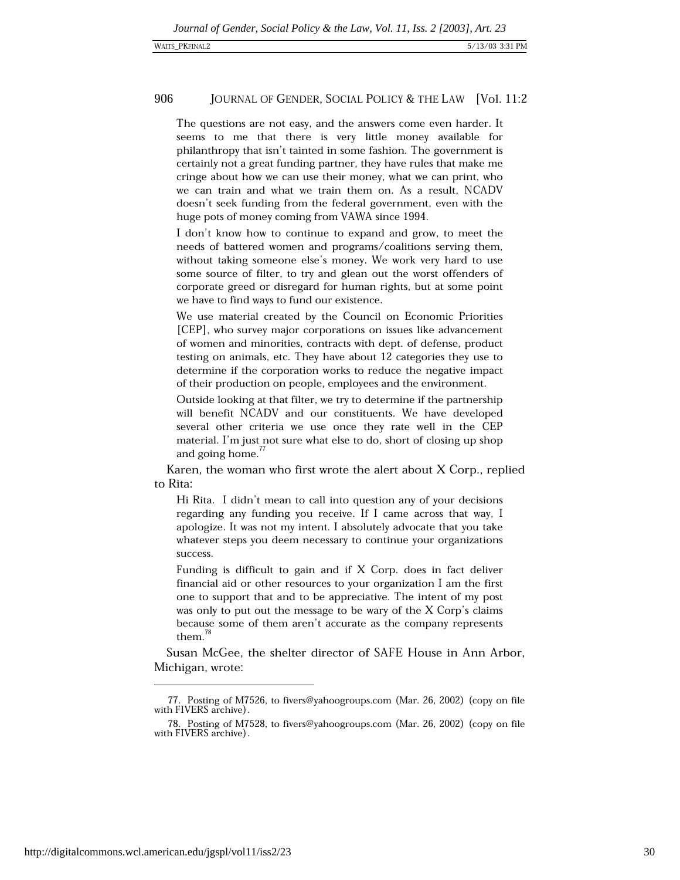The questions are not easy, and the answers come even harder. It seems to me that there is very little money available for philanthropy that isn't tainted in some fashion. The government is certainly not a great funding partner, they have rules that make me cringe about how we can use their money, what we can print, who we can train and what we train them on. As a result, NCADV doesn't seek funding from the federal government, even with the huge pots of money coming from VAWA since 1994.

I don't know how to continue to expand and grow, to meet the needs of battered women and programs/coalitions serving them. without taking someone else's money. We work very hard to use some source of filter, to try and glean out the worst offenders of corporate greed or disregard for human rights, but at some point we have to find ways to fund our existence.

We use material created by the Council on Economic Priorities [CEP], who survey major corporations on issues like advancement of women and minorities, contracts with dept. of defense, product testing on animals, etc. They have about 12 categories they use to determine if the corporation works to reduce the negative impact of their production on people, employees and the environment.

Outside looking at that filter, we try to determine if the partnership will benefit NCADV and our constituents. We have developed several other criteria we use once they rate well in the CEP material. I'm just not sure what else to do, short of closing up shop and going home.<sup>77</sup>

Karen, the woman who first wrote the alert about X Corp., replied to Rita:

Hi Rita. I didn't mean to call into question any of your decisions regarding any funding you receive. If I came across that way, I apologize. It was not my intent. I absolutely advocate that you take whatever steps you deem necessary to continue your organizations success.

Funding is difficult to gain and if X Corp. does in fact deliver financial aid or other resources to your organization I am the first one to support that and to be appreciative. The intent of my post was only to put out the message to be wary of the X Corp's claims because some of them aren't accurate as the company represents them. $^{78}$ 

Susan McGee, the shelter director of SAFE House in Ann Arbor, Michigan, wrote:

<sup>77.</sup> Posting of M7526, to fivers@yahoogroups.com (Mar. 26, 2002) (copy on file with FIVERS archive).

<sup>78.</sup> Posting of M7528, to fivers@yahoogroups.com (Mar. 26, 2002) (copy on file with FIVERS archive).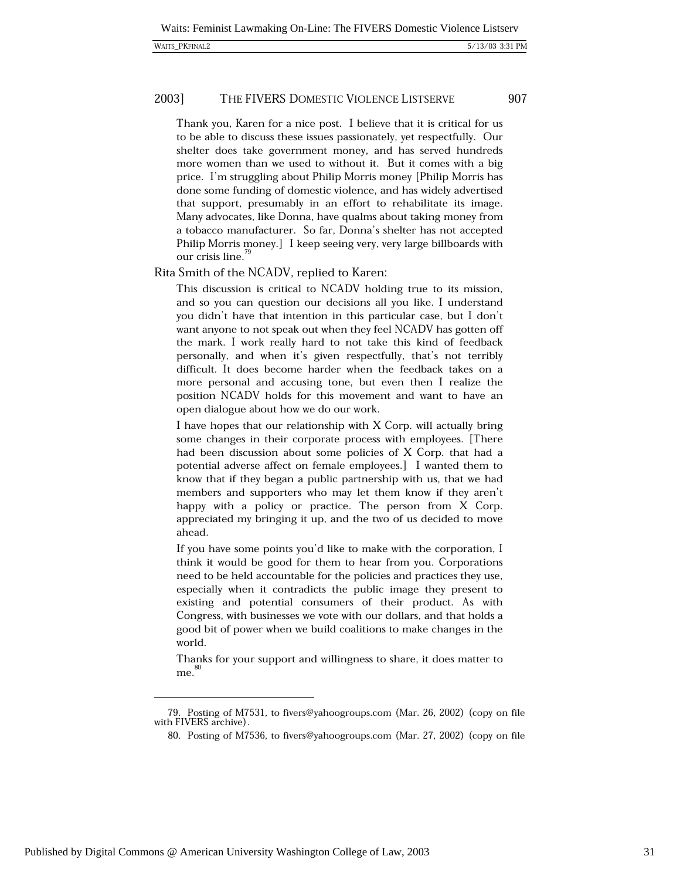#### 2003] THE FIVERS DOMESTIC VIOLENCE LISTSERVE

Thank you, Karen for a nice post. I believe that it is critical for us to be able to discuss these issues passionately, yet respectfully. Our shelter does take government money, and has served hundreds more women than we used to without it. But it comes with a big price. I'm struggling about Philip Morris money [Philip Morris has done some funding of domestic violence, and has widely advertised that support, presumably in an effort to rehabilitate its image. Many advocates, like Donna, have qualms about taking money from a tobacco manufacturer. So far, Donna's shelter has not accepted Philip Morris money.] I keep seeing very, very large billboards with our crisis line.<sup>79</sup>

Rita Smith of the NCADV, replied to Karen:

This discussion is critical to NCADV holding true to its mission, and so you can question our decisions all you like. I understand you didn't have that intention in this particular case, but I don't want anyone to not speak out when they feel NCADV has gotten off the mark. I work really hard to not take this kind of feedback personally, and when it's given respectfully, that's not terribly difficult. It does become harder when the feedback takes on a more personal and accusing tone, but even then I realize the position NCADV holds for this movement and want to have an open dialogue about how we do our work.

I have hopes that our relationship with X Corp. will actually bring some changes in their corporate process with employees. [There had been discussion about some policies of X Corp. that had a potential adverse affect on female employees. I I wanted them to know that if they began a public partnership with us, that we had members and supporters who may let them know if they aren't happy with a policy or practice. The person from X Corp. appreciated my bringing it up, and the two of us decided to move ahead.

If you have some points you'd like to make with the corporation, I think it would be good for them to hear from you. Corporations need to be held accountable for the policies and practices they use, especially when it contradicts the public image they present to existing and potential consumers of their product. As with Congress, with businesses we vote with our dollars, and that holds a good bit of power when we build coalitions to make changes in the world.

Thanks for your support and willingness to share, it does matter to  $me.$ <sup>80</sup>

<sup>79.</sup> Posting of M7531, to fivers@yahoogroups.com (Mar. 26, 2002) (copy on file with FIVERS archive).

<sup>80.</sup> Posting of M7536, to fivers@yahoogroups.com (Mar. 27, 2002) (copy on file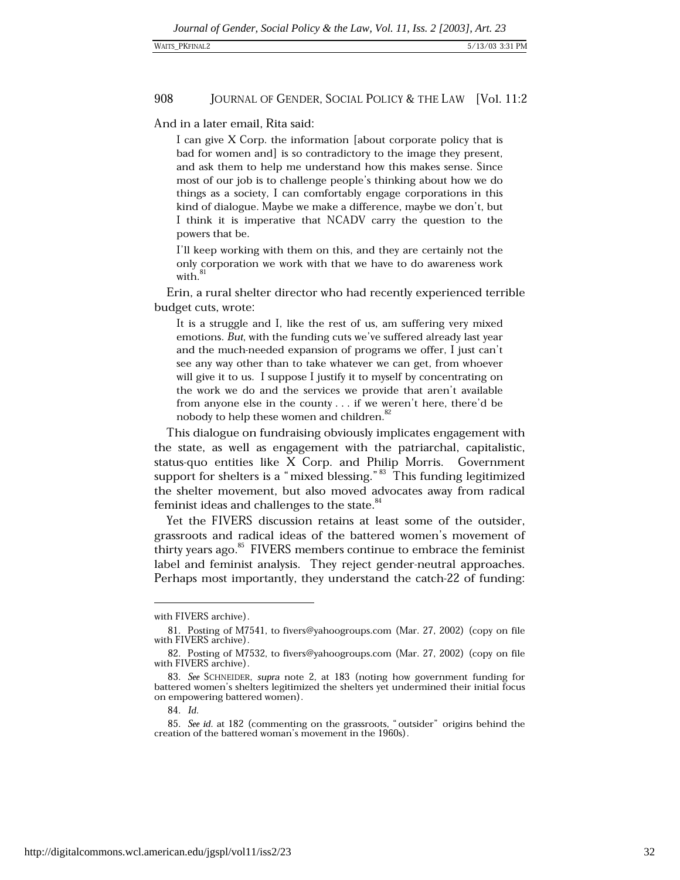And in a later email. Rita said:

I can give  $X$  Corp. the information [about corporate policy that is bad for women and is so contradictory to the image they present, and ask them to help me understand how this makes sense. Since most of our job is to challenge people's thinking about how we do things as a society. I can comfortably engage corporations in this kind of dialogue. Maybe we make a difference, maybe we don't, but I think it is imperative that NCADV carry the question to the powers that be.

I'll keep working with them on this, and they are certainly not the only corporation we work with that we have to do awareness work with.<sup>81</sup>

Erin, a rural shelter director who had recently experienced terrible budget cuts, wrote:

It is a struggle and I, like the rest of us, am suffering very mixed emotions. But, with the funding cuts we've suffered already last year and the much-needed expansion of programs we offer, I just can't see any way other than to take whatever we can get, from whoever will give it to us. I suppose I justify it to myself by concentrating on the work we do and the services we provide that aren't available from anyone else in the county . . . if we weren't here, there'd be nobody to help these women and children.<sup>82</sup>

This dialogue on fundraising obviously implicates engagement with the state, as well as engagement with the patriarchal, capitalistic, status-quo entities like X Corp. and Philip Morris. Government support for shelters is a "mixed blessing."<sup>83</sup> This funding legitimized the shelter movement, but also moved advocates away from radical feminist ideas and challenges to the state.<sup>84</sup>

Yet the FIVERS discussion retains at least some of the outsider, grassroots and radical ideas of the battered women's movement of thirty years ago.<sup>85</sup> FIVERS members continue to embrace the feminist label and feminist analysis. They reject gender-neutral approaches. Perhaps most importantly, they understand the catch-22 of funding:

with FIVERS archive).

<sup>81.</sup> Posting of M7541, to fivers@yahoogroups.com (Mar. 27, 2002) (copy on file with FIVERS archive).

<sup>82.</sup> Posting of M7532, to fivers@yahoogroups.com (Mar. 27, 2002) (copy on file with FIVERS archive).

<sup>83.</sup> See SCHNEIDER, supra note 2, at 183 (noting how government funding for battered women's shelters legitimized the shelters yet undermined their initial focus on empowering battered women).

<sup>84.</sup> Id.

<sup>85.</sup> See id. at 182 (commenting on the grassroots, "outsider" origins behind the creation of the battered woman's movement in the 1960s).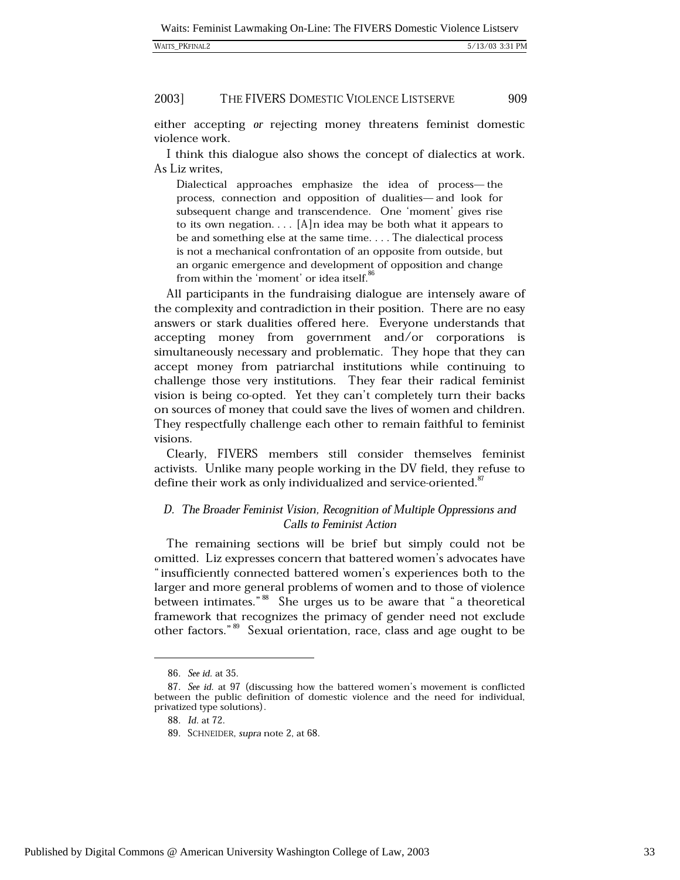| WAITS PKFINAL2 |  |
|----------------|--|
|----------------|--|

#### 2003] THE FIVERS DOMESTIC VIOLENCE LISTSERVE

either accepting or rejecting money threatens feminist domestic violence work.

I think this dialogue also shows the concept of dialectics at work. As Liz writes,

Dialectical approaches emphasize the idea of process-the process, connection and opposition of dualities-and look for subsequent change and transcendence. One 'moment' gives rise to its own negation.... [A]n idea may be both what it appears to be and something else at the same time.... The dialectical process is not a mechanical confrontation of an opposite from outside, but an organic emergence and development of opposition and change from within the 'moment' or idea itself.<sup>80</sup>

All participants in the fundraising dialogue are intensely aware of the complexity and contradiction in their position. There are no easy answers or stark dualities offered here. Everyone understands that accepting money from government and/or corporations is simultaneously necessary and problematic. They hope that they can accept money from patriarchal institutions while continuing to challenge those very institutions. They fear their radical feminist vision is being co-opted. Yet they can't completely turn their backs on sources of money that could save the lives of women and children. They respectfully challenge each other to remain faithful to feminist visions.

Clearly, FIVERS members still consider themselves feminist activists. Unlike many people working in the DV field, they refuse to define their work as only individualized and service-oriented.<sup>87</sup>

# D. The Broader Feminist Vision, Recognition of Multiple Oppressions and Calls to Feminist Action

The remaining sections will be brief but simply could not be omitted. Liz expresses concern that battered women's advocates have "insufficiently connected battered women's experiences both to the larger and more general problems of women and to those of violence between intimates."<sup>88</sup> She urges us to be aware that "a theoretical framework that recognizes the primacy of gender need not exclude other factors."<sup>89</sup> Sexual orientation, race, class and age ought to be

<sup>86.</sup> See id. at 35.

<sup>87.</sup> See id. at 97 (discussing how the battered women's movement is conflicted between the public definition of domestic violence and the need for individual, privatized type solutions).

<sup>88.</sup> Id. at 72.

<sup>89.</sup> SCHNEIDER, supra note 2, at 68.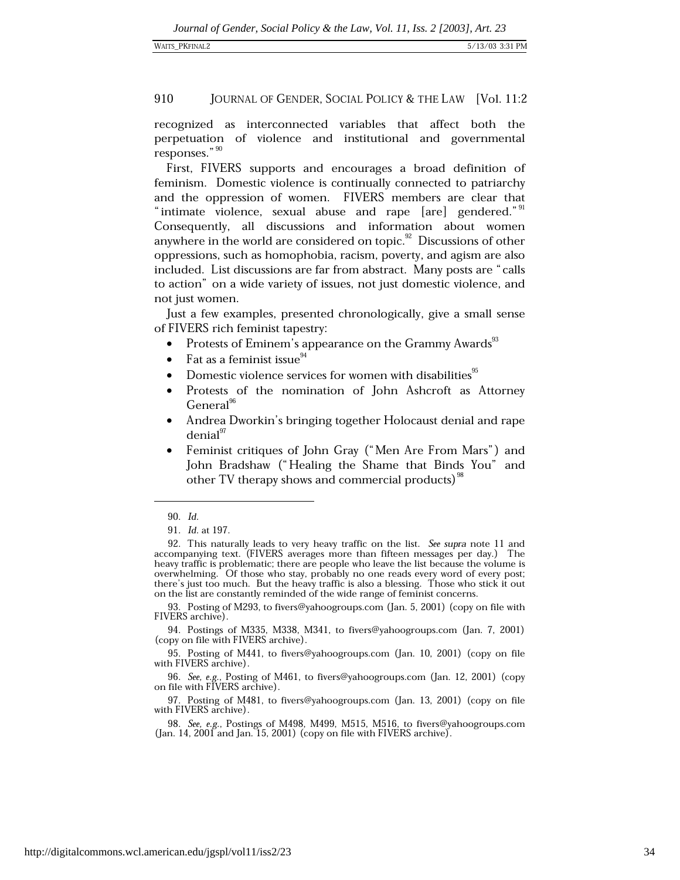recognized as interconnected variables that affect both the perpetuation of violence and institutional and governmental responses." 90

First, FIVERS supports and encourages a broad definition of feminism. Domestic violence is continually connected to patriarchy and the oppression of women. FIVERS members are clear that "intimate violence, sexual abuse and rape [are] gendered."<sup>91</sup> Consequently, all discussions and information about women anywhere in the world are considered on topic.<sup>92</sup> Discussions of other oppressions, such as homophobia, racism, poverty, and agism are also included. List discussions are far from abstract. Many posts are "calls" to action" on a wide variety of issues, not just domestic violence, and not just women.

Just a few examples, presented chronologically, give a small sense of FIVERS rich feminist tapestry:

- Protests of Eminem's appearance on the Grammy Awards  $\bullet$
- Fat as a feminist issue<sup>94</sup>  $\bullet$
- Domestic violence services for women with disabilities<sup>95</sup>
- Protests of the nomination of John Ashcroft as Attorney General<sup>96</sup>
- Andrea Dworkin's bringing together Holocaust denial and rape  $denial<sup>97</sup>$
- Feminist critiques of John Gray ("Men Are From Mars") and  $\bullet$ John Bradshaw ("Healing the Shame that Binds You" and other TV therapy shows and commercial products)<sup>98</sup>

95. Posting of M441, to fivers@yahoogroups.com (Jan. 10, 2001) (copy on file with FIVERS archive).

96. See, e.g., Posting of M461, to fivers@yahoogroups.com (Jan. 12, 2001) (copy on file with FIVERS archive).

97. Posting of M481, to fivers@yahoogroups.com (Jan. 13, 2001) (copy on file with FIVERS archive).

98. See, e.g., Postings of M498, M499, M515, M516, to fivers@yahoogroups.com (Jan. 14, 2001 and Jan. 15, 2001) (copy on file with FIVERS archive).

<sup>90.</sup> Id.

<sup>91.</sup> Id. at 197.

<sup>92.</sup> This naturally leads to very heavy traffic on the list. See supra note 11 and accompanying text. (FIVERS averages more than fifteen messages per day.) The heavy traffic is problematic; there are people who leave the list because the volume is overwhelming. Of those who stay, probably no one reads every word of every post; there's just too much. But the heavy traffic is also a blessing. Those who stick it out on the list are constantly reminded of the wide range of feminist concerns.

<sup>93.</sup> Posting of M293, to fivers@yahoogroups.com (Jan. 5, 2001) (copy on file with FIVERS archive).

<sup>94.</sup> Postings of M335, M338, M341, to fivers@yahoogroups.com (Jan. 7, 2001) (copy on file with FIVERS archive).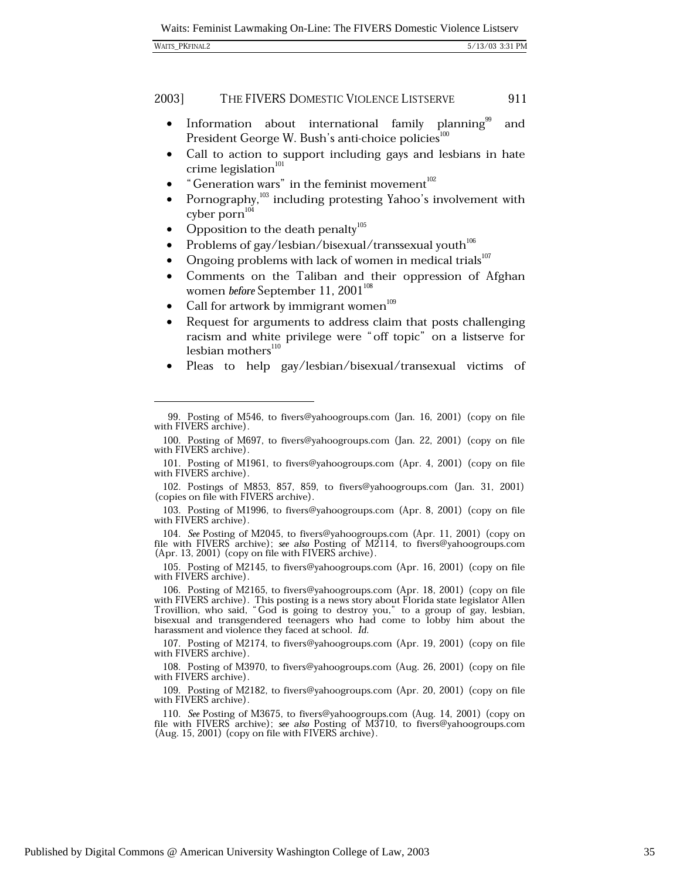| <b>WAITS_PKFINAL2</b> | 5/13/03 3:31 PM |
|-----------------------|-----------------|
|                       |                 |

- Information about international family planning<sup>96</sup>  $\bullet$ and President George W. Bush's anti-choice policies<sup>100</sup>
- Call to action to support including gays and lesbians in hate crime legislation $101$
- "Generation wars" in the feminist movement<sup>102</sup>
- Pornography,<sup>103</sup> including protesting Yahoo's involvement with cyber porn<sup>104</sup>
- Opposition to the death penalty<sup>105</sup>  $\bullet$
- Problems of gay/lesbian/bisexual/transsexual youth<sup>106</sup>
- Ongoing problems with lack of women in medical trials<sup>107</sup>
- Comments on the Taliban and their oppression of Afghan  $\bullet$ women before September 11, 2001<sup>108</sup>
- Call for artwork by immigrant women<sup>109</sup>
- Request for arguments to address claim that posts challenging  $\bullet$ racism and white privilege were "off topic" on a listserve for lesbian $\mbox{mothers}^{110}$
- Pleas to help gay/lesbian/bisexual/transexual victims of

<sup>99.</sup> Posting of M546, to fivers@yahoogroups.com (Jan. 16, 2001) (copy on file with FIVERS archive)

<sup>100.</sup> Posting of M697, to fivers@yahoogroups.com (Jan. 22, 2001) (copy on file with FIVERS archive).

<sup>101.</sup> Posting of M1961, to fivers@yahoogroups.com (Apr. 4, 2001) (copy on file with FIVERS archive).

<sup>102.</sup> Postings of M853, 857, 859, to fivers@yahoogroups.com (Jan. 31, 2001) (copies on file with FIVERS archive).

<sup>103.</sup> Posting of M1996, to fivers@yahoogroups.com (Apr. 8, 2001) (copy on file with FIVERS archive).

<sup>104.</sup> See Posting of M2045, to fivers@yahoogroups.com (Apr. 11, 2001) (copy on file with FIVERS archive); see also Posting of M2114, to fivers@yahoogroups.com (Apr. 13, 2001) (copy on file with FIVERS archive).

<sup>105.</sup> Posting of M2145, to fivers@yahoogroups.com (Apr. 16, 2001) (copy on file with FIVERS archive).

<sup>106.</sup> Posting of M2165, to fivers@yahoogroups.com (Apr. 18, 2001) (copy on file with FIVERS archive). This posting is a news story about Florida state legislator Allen<br>Trovillion, who said, "God is going to destroy you," to a group of gay, lesbian, bisexual and transgendered teenagers who had come to lobby him about the harassment and violence they faced at school. Id.

<sup>107.</sup> Posting of M2174, to fivers@yahoogroups.com (Apr. 19, 2001) (copy on file with FIVERS archive).

<sup>108.</sup> Posting of M3970, to fivers@yahoogroups.com (Aug. 26, 2001) (copy on file with FIVERS archive).

<sup>109.</sup> Posting of M2182, to fivers@yahoogroups.com (Apr. 20, 2001) (copy on file with FIVERS archive).

<sup>110.</sup> See Posting of M3675, to fivers@yahoogroups.com (Aug. 14, 2001) (copy on file with FIVERS archive); see also Posting of M3710, to fivers@yahoogroups.com (Aug. 15, 2001) (copy on file with FIVERS archive).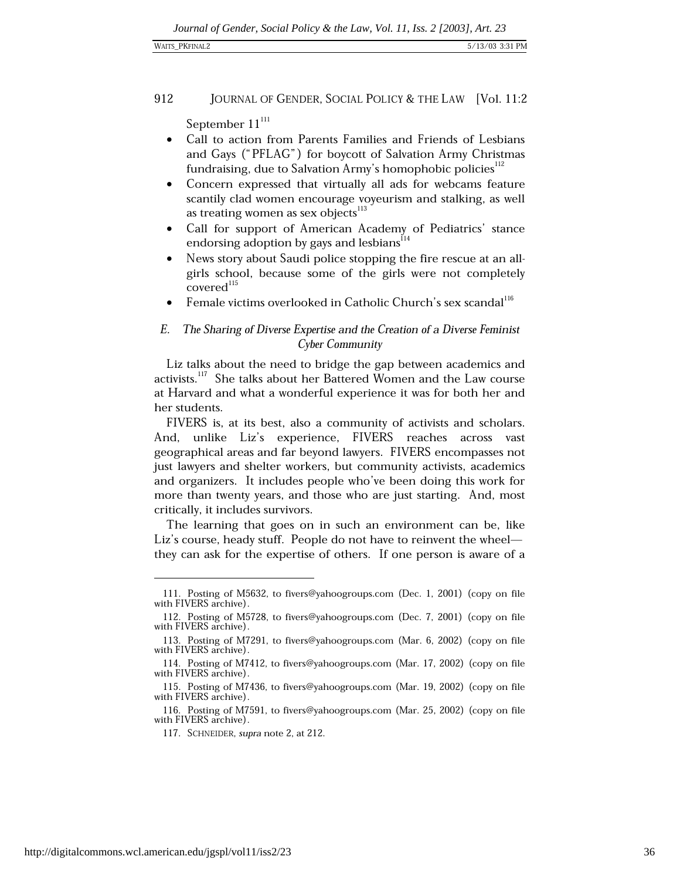### WAITS\_PKFINAL2

### 912 JOURNAL OF GENDER, SOCIAL POLICY & THE LAW [Vol. 11:2

September 11<sup>111</sup>

- Call to action from Parents Families and Friends of Lesbians  $\bullet$ and Gays ("PFLAG") for boycott of Salvation Army Christmas fundraising, due to Salvation Army's homophobic policies<sup>112</sup>
- Concern expressed that virtually all ads for webcams feature scantily clad women encourage voyeurism and stalking, as well as treating women as sex objects<sup>113</sup>
- Call for support of American Academy of Pediatrics' stance endorsing adoption by gays and lesbians<sup>114</sup>
- News story about Saudi police stopping the fire rescue at an allgirls school, because some of the girls were not completely covered<sup>115</sup>
- Female victims overlooked in Catholic Church's sex scandal<sup>116</sup>

### $E$ . The Sharing of Diverse Expertise and the Creation of a Diverse Feminist Cyber Community

Liz talks about the need to bridge the gap between academics and activists.<sup>117</sup> She talks about her Battered Women and the Law course at Harvard and what a wonderful experience it was for both her and her students.

FIVERS is, at its best, also a community of activists and scholars. And, unlike Liz's experience, FIVERS reaches across vast geographical areas and far beyond lawyers. FIVERS encompasses not just lawyers and shelter workers, but community activists, academics and organizers. It includes people who've been doing this work for more than twenty years, and those who are just starting. And, most critically, it includes survivors.

The learning that goes on in such an environment can be, like Liz's course, heady stuff. People do not have to reinvent the wheel they can ask for the expertise of others. If one person is aware of a

<sup>111.</sup> Posting of M5632, to fivers@yahoogroups.com (Dec. 1, 2001) (copy on file with FIVERS archive).

<sup>112.</sup> Posting of M5728, to fivers@yahoogroups.com (Dec. 7, 2001) (copy on file with FIVERS archive).

<sup>113.</sup> Posting of M7291, to fivers@yahoogroups.com (Mar. 6, 2002) (copy on file with FIVERS archive).

<sup>114.</sup> Posting of M7412, to fivers@yahoogroups.com (Mar. 17, 2002) (copy on file with FIVERS archive).

<sup>115.</sup> Posting of M7436, to fivers@yahoogroups.com (Mar. 19, 2002) (copy on file with FIVERS archive).

<sup>116.</sup> Posting of M7591, to fivers@yahoogroups.com (Mar. 25, 2002) (copy on file with FIVERS archive).

<sup>117.</sup> SCHNEIDER, supra note 2, at 212.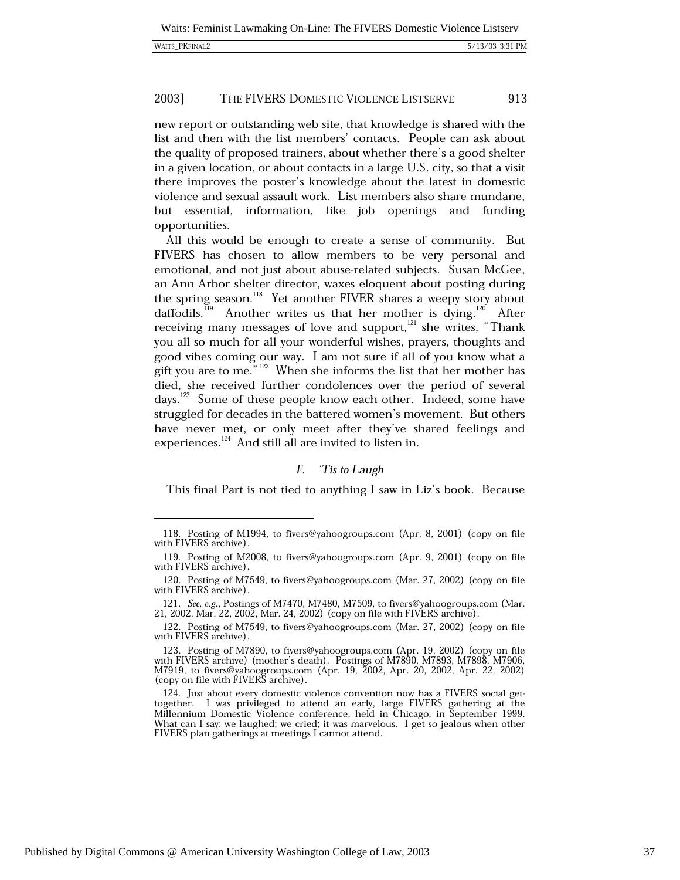|  | <b>WAITS PKFINAL2</b> |
|--|-----------------------|
|--|-----------------------|

new report or outstanding web site, that knowledge is shared with the list and then with the list members' contacts. People can ask about the quality of proposed trainers, about whether there's a good shelter in a given location, or about contacts in a large U.S. city, so that a visit there improves the poster's knowledge about the latest in domestic violence and sexual assault work. List members also share mundane, but essential, information, like job openings and funding opportunities.

All this would be enough to create a sense of community. But FIVERS has chosen to allow members to be very personal and emotional, and not just about abuse-related subjects. Susan McGee, an Ann Arbor shelter director, waxes eloquent about posting during the spring season.<sup>118</sup> Yet another FIVER shares a weepy story about daffodils.<sup>119</sup> Another writes us that her mother is dying.<sup>120</sup> After receiving many messages of love and support,<sup>121</sup> she writes, "Thank you all so much for all your wonderful wishes, prayers, thoughts and good vibes coming our way. I am not sure if all of you know what a gift you are to me."  $122$  When she informs the list that her mother has died, she received further condolences over the period of several days.<sup>123</sup> Some of these people know each other. Indeed, some have struggled for decades in the battered women's movement. But others have never met, or only meet after they've shared feelings and experiences.<sup>124</sup> And still all are invited to listen in.

#### $F_{\cdot}$ Tis to Laugh

This final Part is not tied to anything I saw in Liz's book. Because

<sup>118.</sup> Posting of M1994, to fivers@yahoogroups.com (Apr. 8, 2001) (copy on file with FIVERS archive).

<sup>119.</sup> Posting of M2008, to fivers@yahoogroups.com (Apr. 9, 2001) (copy on file with FIVERS archive).

<sup>120.</sup> Posting of M7549, to fivers@yahoogroups.com (Mar. 27, 2002) (copy on file with FIVERS archive).

<sup>121.</sup> See, e.g., Postings of M7470, M7480, M7509, to fivers@yahoogroups.com (Mar. 21, 2002, Mar. 22, 2002, Mar. 24, 2002) (copy on file with FIVERS archive).

<sup>122.</sup> Posting of M7549, to fivers@yahoogroups.com (Mar. 27, 2002) (copy on file with FIVERS archive).

<sup>123.</sup> Posting of M7890, to fivers@yahoogroups.com (Apr. 19, 2002) (copy on file with FIVERS archive) (mother's death). Postings of M7890, M7893, M7898, M7906, M7919, to fivers@yahoogroups.com (Apr. 19, 2002, Apr. 20, 2002, Apr. 22, 2002) (copy on file with FIVERS archive).

<sup>124.</sup> Just about every domestic violence convention now has a FIVERS social gettogether. I was privileged to attend an early, large FIVERS gathering at the Millennium Domestic Violence conference, held in Chicago, in September 1999. What can I say: we laughed; we cried; it was marvelous. I get so jealous when other FIVERS plan gatherings at meetings I cannot attend.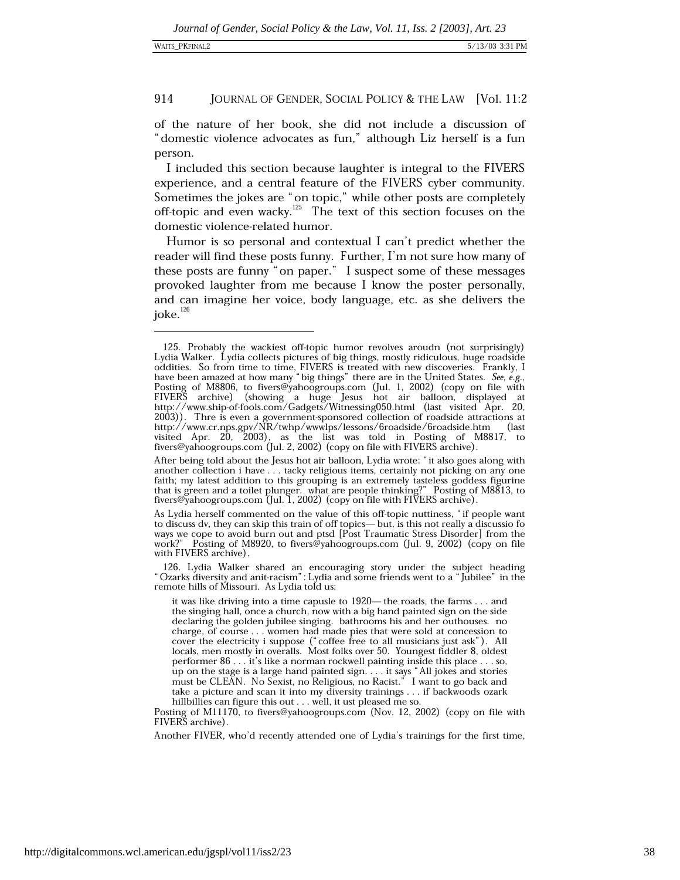of the nature of her book, she did not include a discussion of "domestic violence advocates as fun," although Liz herself is a fun person.

I included this section because laughter is integral to the FIVERS experience, and a central feature of the FIVERS cyber community. Sometimes the jokes are "on topic," while other posts are completely off-topic and even wacky.<sup>125</sup> The text of this section focuses on the domestic violence-related humor.

Humor is so personal and contextual I can't predict whether the reader will find these posts funny. Further, I'm not sure how many of these posts are funny "on paper." I suspect some of these messages provoked laughter from me because I know the poster personally, and can imagine her voice, body language, etc. as she delivers the joke. $^{126}$ 

126. Lydia Walker shared an encouraging story under the subject heading "Ozarks diversity and anit-racism": Lydia and some friends went to a "Jubilee" in the remote hills of Missouri. As Lydia told us:

<sup>125.</sup> Probably the wackiest off-topic humor revolves aroudn (not surprisingly) Lydia Walker. Lydia collects pictures of big things, mostly ridiculous, huge roadside oddities. So from time to time, FIVERS is treated with new discoveries. Frankly, I have been amazed at how many "big things" there are in the United States. See, e.g., Posting of M8806, to fivers@yahoogroups.com (Jul. 1, 2002) (copy on file with<br>FIVERS archive) (showing a huge Jesus hot air balloon, displayed at<br>http://www.ship-of-fools.com/Gadgets/Witnessing050.html (last visited Apr. 2 2003). Thre is even a government-sponsored collection of roadside attractions at<br>http://www.cr.nps.gpv/NR/twhp/wwwlps/lessons/6roadside/6roadside.htm (last<br>visited Apr. 20, 2003), as the list was told in Posting of M8817, fivers@yahoogroups.com (Jul. 2, 2002) (copy on file with FIVERS archive).

After being told about the Jesus hot air balloon, Lydia wrote: "it also goes along with another collection i have . . . tacky religious items, certainly not picking on any one faith; my latest addition to this grouping is an extremely tasteless goddess figurine that is green and a toilet plunger. what are people thinking?" Posting of M8813, to fivers@yahoogroups.com (Jul. 1, 2002) (copy on file with FIVERS archive).

As Lydia herself commented on the value of this off-topic nuttiness, "if people want to discuss dv, they can skip this train of off topics—but, is this not really a discussio fo ways we cope to avoid burn out and ptsd [Post Traumatic Stress Disorder] from the work?" Posting of M8920, to fivers@yahoogroups.com (Jul. 9, 2002) (copy on file with FIVERS archive).

it was like driving into a time capusle to 1920— the roads, the farms . . . and the singing hall, once a church, now with a big hand painted sign on the side declaring the golden jubilee singing. bathrooms his and her outhouses. no charge, of course . . . women had made pies that were sold at concession to cover the electricity i suppose ("coffee free to all musicians just ask"). All locals, men mostly in overalls. Most folks over 50. Youngest fiddler 8, oldest performer 86 . . . it's like a norman rockwell painting inside this place . . . so, up on the stage is a large hand painted sign.... it says "All jokes and stories must be CLEAN. No Sexist, no Religious, no Racist." I want to go back and take a picture and scan it into my diversity trainings . . . if backwoods ozark hillbillies can figure this out . . . well, it ust pleased me so.

Posting of M11170, to fivers@yahoogroups.com (Nov. 12, 2002) (copy on file with FIVERS archive).

Another FIVER, who'd recently attended one of Lydia's trainings for the first time,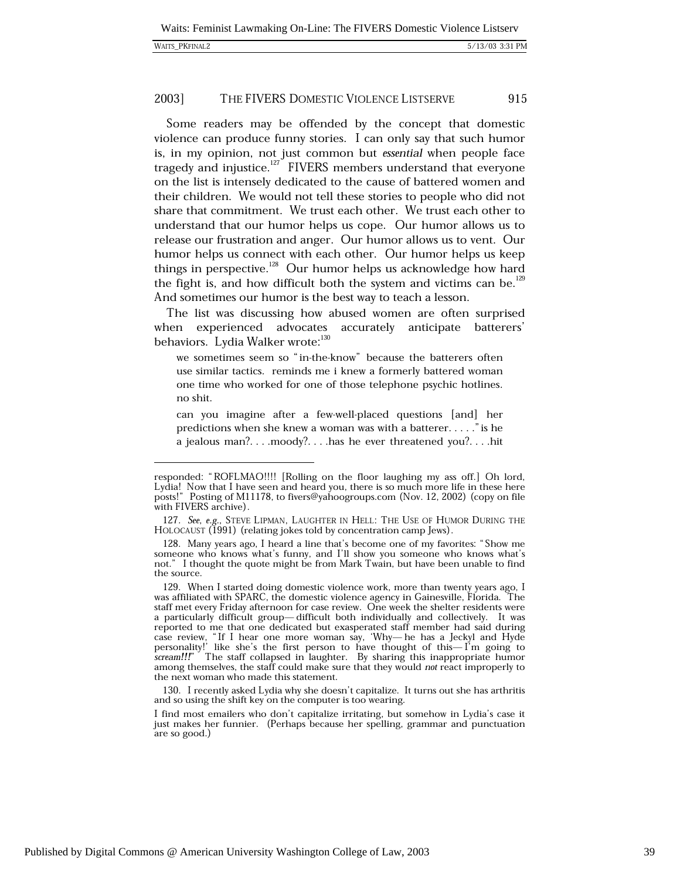| <b>WAITS PKFINAL2</b> |
|-----------------------|
|                       |

Some readers may be offended by the concept that domestic violence can produce funny stories. I can only say that such humor is, in my opinion, not just common but essential when people face tragedy and injustice.<sup>127</sup> FIVERS members understand that everyone on the list is intensely dedicated to the cause of battered women and their children. We would not tell these stories to people who did not share that commitment. We trust each other. We trust each other to understand that our humor helps us cope. Our humor allows us to release our frustration and anger. Our humor allows us to vent. Our humor helps us connect with each other. Our humor helps us keep things in perspective.<sup>128</sup> Our humor helps us acknowledge how hard the fight is, and how difficult both the system and victims can be.<sup>129</sup> And sometimes our humor is the best way to teach a lesson.

The list was discussing how abused women are often surprised when experienced advocates accurately anticipate batterers' behaviors. Lydia Walker wrote:<sup>130</sup>

we sometimes seem so "in-the-know" because the batterers often use similar tactics. reminds me i knew a formerly battered woman one time who worked for one of those telephone psychic hotlines. no shit.

can you imagine after a few-well-placed questions [and] her predictions when she knew a woman was with a batterer....." is he a jealous man?....moody?....has he ever threatened you?....hit

130. I recently asked Lydia why she doesn't capitalize. It turns out she has arthritis and so using the shift key on the computer is too wearing.

responded: "ROFLMAO!!!! [Rolling on the floor laughing my ass off.] Oh lord, Lydial Now that I have seen and heard you, there is so much more life in these here<br>posts!" Posting of M11178, to fivers@yahoogroups.com (Nov. 12, 2002) (copy on file with FIVERS archive).

<sup>127.</sup> See, e.g., STEVE LIPMAN, LAUGHTER IN HELL: THE USE OF HUMOR DURING THE HOLOCAUST (1991) (relating jokes told by concentration camp Jews).

<sup>128.</sup> Many years ago, I heard a line that's become one of my favorites: "Show me someone who knows what's funny, and I'll show you someone who knows what's not." I thought the quote might be from Mark Twain, but have been unable to find the source.

<sup>129.</sup> When I started doing domestic violence work, more than twenty years ago, I was affiliated with SPARC, the domestic violence agency in Gainesville, Florida. The staff met every Friday afternoon for case review. One week the shelter residents were a particularly difficult group-difficult both individually and collectively. It was reported to the that one deducated but exasperated staff member had said during<br>case review, "If I hear one more woman say, 'Why—he has a Jeckyl and Hyde<br>personality!' like she's the first person to have thought of this—I' reported to me that one dedicated but exasperated staff member had said during among themselves, the staff could make sure that they would not react improperly to the next woman who made this statement.

I find most emailers who don't capitalize irritating, but somehow in Lydia's case it just makes her funnier. (Perhaps because her spelling, grammar and punctuation are so good.)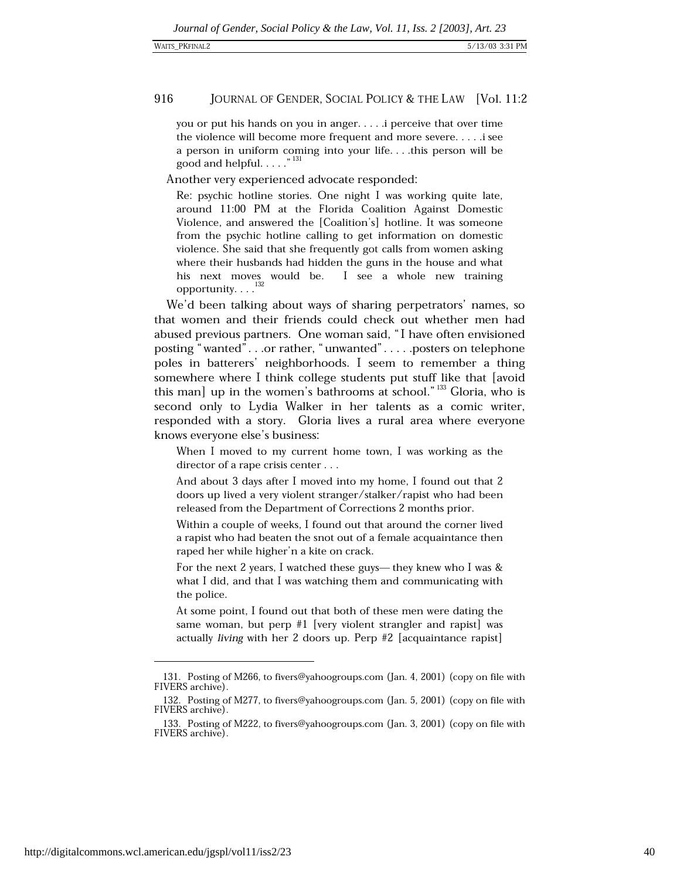you or put his hands on you in anger.... i perceive that over time the violence will become more frequent and more severe.....i see a person in uniform coming into your life... this person will be good and helpful......<sup>"131</sup>

Another very experienced advocate responded:

Re: psychic hotline stories. One night I was working quite late, around 11:00 PM at the Florida Coalition Against Domestic Violence, and answered the [Coalition's] hotline. It was someone from the psychic hotline calling to get information on domestic violence. She said that she frequently got calls from women asking where their husbands had hidden the guns in the house and what his next moves would be. I see a whole new training opportunity.  $\dots$ <sup>132</sup>

We'd been talking about ways of sharing perpetrators' names, so that women and their friends could check out whether men had abused previous partners. One woman said, "I have often envisioned posting "wanted"...or rather, "unwanted".....posters on telephone poles in batterers' neighborhoods. I seem to remember a thing somewhere where I think college students put stuff like that [avoid this man] up in the women's bathrooms at school."<sup>133</sup> Gloria, who is second only to Lydia Walker in her talents as a comic writer, responded with a story. Gloria lives a rural area where everyone knows everyone else's business:

When I moved to my current home town, I was working as the director of a rape crisis center . . .

And about 3 days after I moved into my home, I found out that 2 doors up lived a very violent stranger/stalker/rapist who had been released from the Department of Corrections 2 months prior.

Within a couple of weeks, I found out that around the corner lived a rapist who had beaten the snot out of a female acquaintance then raped her while higher'n a kite on crack.

For the next 2 years, I watched these guys— they knew who I was & what I did, and that I was watching them and communicating with the police.

At some point, I found out that both of these men were dating the same woman, but perp  $#1$  [very violent strangler and rapist] was actually living with her 2 doors up. Perp #2 [acquaintance rapist]

<sup>131.</sup> Posting of M266, to fivers@yahoogroups.com (Jan. 4, 2001) (copy on file with FIVERS archive).

<sup>132.</sup> Posting of M277, to fivers@yahoogroups.com (Jan. 5, 2001) (copy on file with FIVERS archive).

<sup>133.</sup> Posting of M222, to fivers@yahoogroups.com (Jan. 3, 2001) (copy on file with FIVERS archive).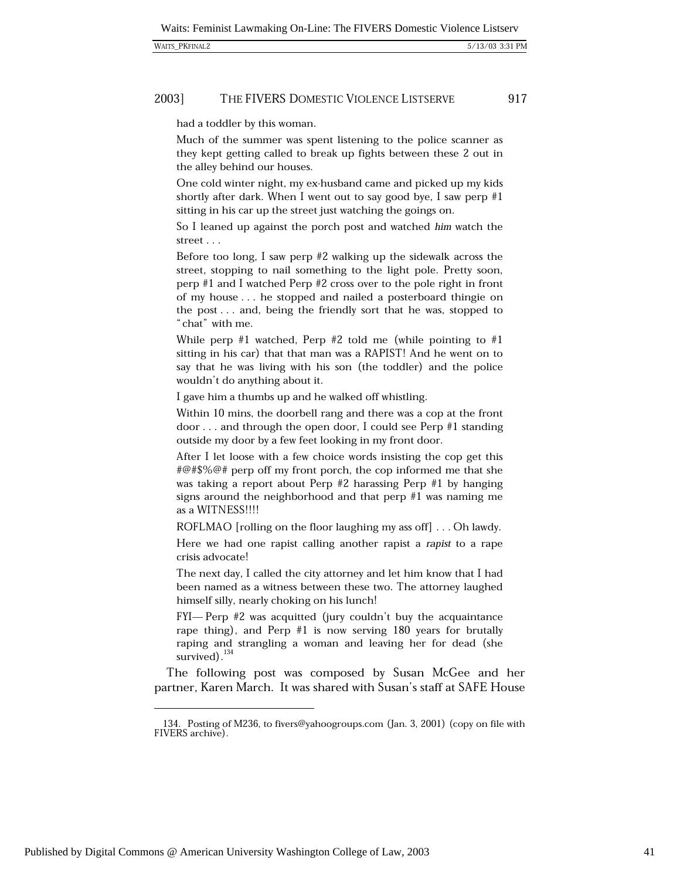#### 2003] THE FIVERS DOMESTIC VIOLENCE LISTSERVE

had a toddler by this woman.

Much of the summer was spent listening to the police scanner as they kept getting called to break up fights between these 2 out in the alley behind our houses.

One cold winter night, my ex-husband came and picked up my kids shortly after dark. When I went out to say good bye, I saw perp  $#1$ sitting in his car up the street just watching the goings on.

So I leaned up against the porch post and watched him watch the street  $\ldots$ 

Before too long, I saw perp  $#2$  walking up the sidewalk across the street, stopping to nail something to the light pole. Pretty soon, perp  $#1$  and I watched Perp  $#2$  cross over to the pole right in front of my house . . . he stopped and nailed a posterboard thingie on the post... and, being the friendly sort that he was, stopped to "chat" with me.

While perp #1 watched, Perp #2 told me (while pointing to #1 sitting in his car) that that man was a RAPIST! And he went on to say that he was living with his son (the toddler) and the police wouldn't do anything about it.

I gave him a thumbs up and he walked off whistling.

Within 10 mins, the doorbell rang and there was a cop at the front door ... and through the open door, I could see Perp  $#1$  standing outside my door by a few feet looking in my front door.

After I let loose with a few choice words insisting the cop get this #@#\$%@# perp off my front porch, the cop informed me that she was taking a report about Perp #2 harassing Perp #1 by hanging signs around the neighborhood and that perp  $#1$  was naming me as a WITNESS!!!!

ROFLMAO [rolling on the floor laughing my ass off] . . . Oh lawdy.

Here we had one rapist calling another rapist a rapist to a rape crisis advocate!

The next day, I called the city attorney and let him know that I had been named as a witness between these two. The attorney laughed himself silly, nearly choking on his lunch!

FYI—Perp #2 was acquitted (jury couldn't buy the acquaintance rape thing), and Perp  $#1$  is now serving 180 years for brutally raping and strangling a woman and leaving her for dead (she survived). $^{134}$ 

The following post was composed by Susan McGee and her partner, Karen March. It was shared with Susan's staff at SAFE House

Published by Digital Commons @ American University Washington College of Law, 2003

<sup>134.</sup> Posting of M236, to fivers@yahoogroups.com (Jan. 3, 2001) (copy on file with FIVERS archive).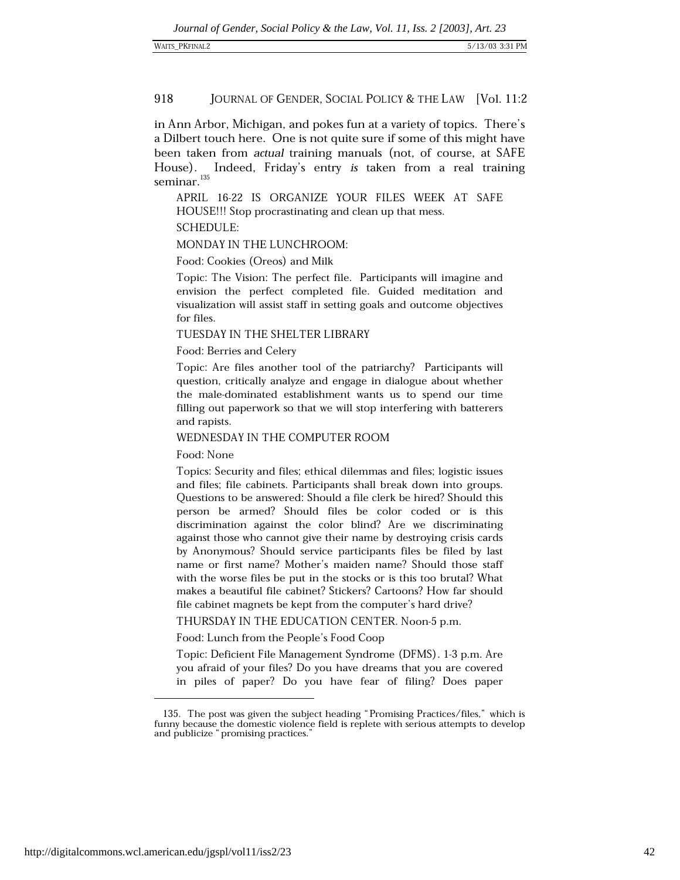in Ann Arbor, Michigan, and pokes fun at a variety of topics. There's a Dilbert touch here. One is not quite sure if some of this might have been taken from actual training manuals (not, of course, at SAFE Indeed, Friday's entry is taken from a real training House).  $\,$ seminar. $^{135}$ 

APRIL 16-22 IS ORGANIZE YOUR FILES WEEK AT SAFE HOUSE!!! Stop procrastinating and clean up that mess.

**SCHEDULE:** 

MONDAY IN THE LUNCHROOM:

Food: Cookies (Oreos) and Milk

Topic: The Vision: The perfect file. Participants will imagine and envision the perfect completed file. Guided meditation and visualization will assist staff in setting goals and outcome objectives for files.

TUESDAY IN THE SHELTER LIBRARY

Food: Berries and Celery

Topic: Are files another tool of the patriarchy? Participants will question, critically analyze and engage in dialogue about whether the male-dominated establishment wants us to spend our time filling out paperwork so that we will stop interfering with batterers and rapists.

## WEDNESDAY IN THE COMPUTER ROOM

Food: None

Topics: Security and files; ethical dilemmas and files; logistic issues and files; file cabinets. Participants shall break down into groups. Questions to be answered: Should a file clerk be hired? Should this person be armed? Should files be color coded or is this discrimination against the color blind? Are we discriminating against those who cannot give their name by destroying crisis cards by Anonymous? Should service participants files be filed by last name or first name? Mother's maiden name? Should those staff with the worse files be put in the stocks or is this too brutal? What makes a beautiful file cabinet? Stickers? Cartoons? How far should file cabinet magnets be kept from the computer's hard drive?

THURSDAY IN THE EDUCATION CENTER. Noon-5 p.m.

Food: Lunch from the People's Food Coop

Topic: Deficient File Management Syndrome (DFMS). 1-3 p.m. Are you afraid of your files? Do you have dreams that you are covered in piles of paper? Do you have fear of filing? Does paper

<sup>135.</sup> The post was given the subject heading "Promising Practices/files," which is funny because the domestic violence field is replete with serious attempts to develop and publicize "promising practices."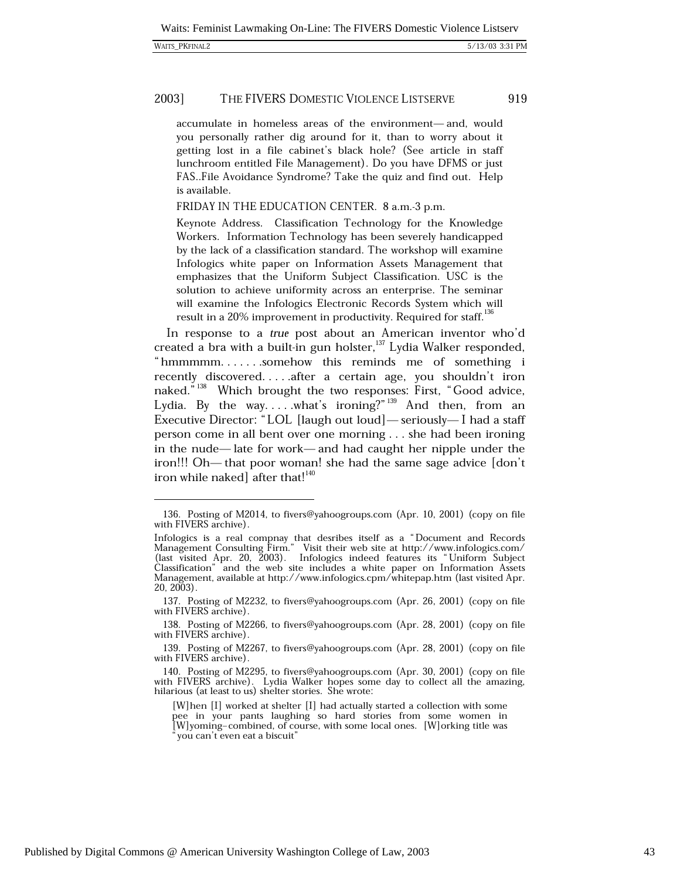#### 2003] THE FIVERS DOMESTIC VIOLENCE LISTSERVE

accumulate in homeless areas of the environment-and, would you personally rather dig around for it, than to worry about it getting lost in a file cabinet's black hole? (See article in staff lunchroom entitled File Management). Do you have DFMS or just FAS..File Avoidance Syndrome? Take the quiz and find out. Help is available.

FRIDAY IN THE EDUCATION CENTER. 8 a.m.-3 p.m.

Keynote Address. Classification Technology for the Knowledge Workers. Information Technology has been severely handicapped by the lack of a classification standard. The workshop will examine Infologics white paper on Information Assets Management that emphasizes that the Uniform Subject Classification. USC is the solution to achieve uniformity across an enterprise. The seminar will examine the Infologics Electronic Records System which will result in a 20% improvement in productivity. Required for staff.<sup>136</sup>

In response to a true post about an American inventor who'd created a bra with a built-in gun holster,<sup>137</sup> Lydia Walker responded, "hmmmmm.......somehow this reminds me of something i recently discovered....after a certain age, you shouldn't iron naked."<sup>138</sup> Which brought the two responses: First, "Good advice, Lydia. By the way.....what's ironing?"<sup>139</sup> And then, from an Executive Director: "LOL [laugh out loud] — seriously—I had a staff person come in all bent over one morning . . . she had been ironing in the nude—late for work—and had caught her nipple under the iron!!! Oh—that poor woman! she had the same sage advice [don't iron while naked] after that!<sup>140</sup>

<sup>136.</sup> Posting of M2014, to fivers@yahoogroups.com (Apr. 10, 2001) (copy on file with FIVERS archive).

Infologics is a real compnay that desribes itself as a "Document and Records Management Consulting Firm." Visit their web site at http://www.infologics.com/<br>(last visited Apr. 20, 2003). Infologics indeed features its "Uniform Subject" Classification" and the web site includes a white paper on Information Assets Management, available at http://www.infologics.cpm/whitepap.htm (last visited Apr.  $20, 2003$ .

<sup>137.</sup> Posting of M2232, to fivers@yahoogroups.com (Apr. 26, 2001) (copy on file with FIVERS archive).

<sup>138.</sup> Posting of M2266, to fivers@yahoogroups.com (Apr. 28, 2001) (copy on file with FIVERS archive).

<sup>139.</sup> Posting of M2267, to fivers@yahoogroups.com (Apr. 28, 2001) (copy on file with FIVERS archive).

<sup>140.</sup> Posting of M2295, to fivers@yahoogroups.com (Apr. 30, 2001) (copy on file with FIVERS archive). Lydia Walker hopes some day to collect all the amazing, hilarious (at least to us) shelter stories. She wrote:

<sup>[</sup>W] hen [I] worked at shelter [I] had actually started a collection with some pee in your pants laughing so hard stories from some women in [W]yoming-combined, of course, with some local ones. [W]orking title was you can't even eat a biscuit"